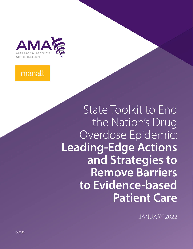

## manatt

State Toolkit to End the Nation's Drug Overdose Epidemic: **Leading-Edge Actions and Strategies to Remove Barriers to Evidence-based Patient Care**

JANUARY 2022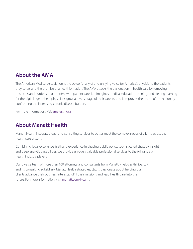#### **About the AMA**

The American Medical Association is the powerful ally of and unifying voice for America's physicians, the patients they serve, and the promise of a healthier nation. The AMA attacks the dysfunction in health care by removing obstacles and burdens that interfere with patient care. It reimagines medical education, training, and lifelong learning for the digital age to help physicians grow at every stage of their careers, and it improves the health of the nation by confronting the increasing chronic disease burden.

For more information, visit [ama-assn.org.](https://www.ama-assn.org/)

### **About Manatt Health**

Manatt Health integrates legal and consulting services to better meet the complex needs of clients across the health care system.

Combining legal excellence, firsthand experience in shaping public policy, sophisticated strategy insight and deep analytic capabilities, we provide uniquely valuable professional services to the full range of health industry players.

Our diverse team of more than 160 attorneys and consultants from Manatt, Phelps & Phillips, LLP, and its consulting subsidiary, Manatt Health Strategies, LLC, is passionate about helping our clients advance their business interests, fulfill their missions and lead health care into the future. For more information, visit [manatt.com/Health.](https://www.manatt.com/Health)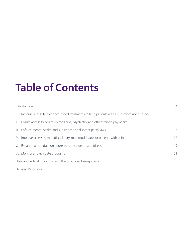# **Table of Contents**

|              | Introduction                                                                                | $\overline{4}$ |
|--------------|---------------------------------------------------------------------------------------------|----------------|
| $\mathbf{L}$ | Increase access to evidence-based treatments to help patients with a substance use disorder | 6              |
|              | II. Ensure access to addiction medicine, psychiatry, and other trained physicians           | 10             |
|              | III. Enforce mental health and substance use disorder parity laws                           | 13             |
|              | IV. Improve access to multidisciplinary, multimodal care for patients with pain             | 16             |
|              | V. Expand harm reduction efforts to reduce death and disease                                | 19             |
|              | VI. Monitor and evaluate programs                                                           | 21             |
|              | State and federal funding to end the drug overdose epidemic                                 | 23             |
|              | <b>Detailed Resources</b>                                                                   | 28             |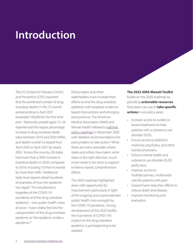## <span id="page-3-0"></span>**Introduction**

The US Centers for Disease Control and Prevention (CDC) reported that the predicted number of drug overdose deaths in the 12-month period ending in April 2021 exceeded 100,000 for the first time ever.[1](#page-76-0) Nationally, people aged 15–24 experienced the largest percentage increase in drug overdose death rates between 2019 and 2020 (49%), and deaths overall increased from April 2020 to April 2021 by nearly 30%.[2](#page-76-0) Across the country, 28 states had more than a 30% increase in overdose deaths in 2020 compared to 2019, including 10 that increased by more than 40%.<sup>[3](#page-76-0)</sup> Additional state-level reports detail hundreds of examples of how the epidemic has raged.[4](#page-76-0) The simultaneous tragedies of the COVID-19 pandemic and the drug overdose epidemic—two public health crises at once—have widely fed into the categorization of the drug overdose epidemic as "the epidemic inside a pandemic."[5](#page-76-0)

Policymakers and other stakeholders must increase their efforts to end the drug overdose epidemic with targeted, evidencebased interventions and emerging best practices. The American Medical Association (AMA) and Manatt Health released a national [policy roadmap](https://www.ama-assn.org/system/files/2020-12/ama-manatt-health-2020-national-roadmap.pdf) in December 2020 with detailed recommendations for policymakers to take action.<sup>[6](#page-76-0)</sup> While there are many examples where states and others have taken some steps in the right direction, much more needs to be done to support evidence-based, comprehensive efforts.

The 2020 roadmap highlighted areas with opportunity for improvement, particularly in light of the ongoing and unprecedented public health crisis wrought by the COVID-19 pandemic. During development of this 2022 toolkit, the true extent of COVID-19's impact on the drug overdose epidemic is just beginning to be realized.

**The 2022 AMA-Manatt Toolkit** builds on the 2020 roadmap by providing **actionable resources** that states can use to **take specific actions** in six policy areas:

- Increase access to evidencebased treatments to help patients with a substance use disorder (SUD).
- Ensure access to addiction medicine, psychiatry, and other trained physicians.
- Enforce mental health and substance use disorder (SUD) parity laws.
- Improve access to multidisciplinary, multimodal care for patients with pain.
- Expand harm reduction efforts to reduce death and disease.
- Improve monitoring and evaluation.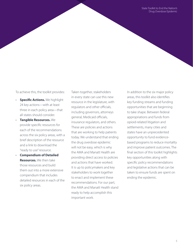To achieve this, the toolkit provides:

- **Specific Actions.** We highlight 24 key actions—with at least three in each policy area—that all states should consider.
- **Tangible Resources.** We provide specific resources for each of the recommendations across the six policy areas, with a brief description of the resource and a link to download the "ready to use" resource.
- **Compendium of Detailed Resources.** We then take those resources and build them out into a more extensive compendium that includes detailed resources in each of the six policy areas.

Taken together, stakeholders in every state can use this new resource in the legislature, with regulators and other officials, including governors, attorneys general, Medicaid officials, insurance regulators, and others. These are policies and actions that are working to help patients today. We understand that ending the drug overdose epidemic will not be easy, which is why the AMA and Manatt Health are providing direct access to policies and actions that have worked. It is up to policymakers and key stakeholders to work together to enact and implement these recommendations. For our part, the AMA and Manatt Health stand ready to help accomplish this important work.

In addition to the six major policy areas, this toolkit also identifies key funding streams and funding opportunities that are beginning to take shape. Between federal appropriations and funds from opioid-related litigation and settlements, many cities and states have an unprecedented opportunity to fund evidencebased programs to reduce mortality and improve patient outcomes. The final section of this toolkit highlights key opportunities along with specific policy recommendations and legislative actions that can be taken to ensure funds are spent on ending the epidemic.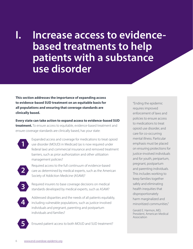<span id="page-5-0"></span>**I. Increase access to evidencebased treatments to help patients with a substance use disorder**

**This section addresses the importance of expanding access to evidence-based SUD treatment on an equitable basis for all populations and ensuring that coverage standards are clinically based.**

**Every state can take action to expand access to evidence-based SUD treatment.** To ensure access to equitable, evidence-based treatment and ensure coverage standards are clinically based, has your state:

- Expanded access and coverage for medications to treat opioid use disorder (MOUD) in Medicaid (as is now required under federal law) and commercial insurance and removed treatment barriers, such as prior authorization and other utilization management policies?
	- Required access to the full continuum of evidence-based care as determined by medical experts, such as the American Society of Addiction Medicine (ASAM)?
	- Required insurers to base coverage decisions on medical standards developed by medical experts, such as ASAM?
- Addressed disparities and the needs of all patients equitably, including vulnerable populations, such as justice-involved individuals and pregnant, parenting and postpartum individuals and families?

**5** Ensured patient access to both MOUD and SUD treatment?

"Ending the epidemic requires improved enforcement of laws and policies to ensure access to medications to treat opioid use disorder, and care for co-occurring mental illness. Particular emphasis must be placed on ensuring protections for justice-involved individuals and for youth, peripartum, pregnant, postpartum and parenting individuals. This includes working to keep families together safely and eliminating health inequities that disproportionately harm marginalized and minoritized communities."

Gerald E. Harmon, MD, President, American Medical Association

**1**

**2**

**3**

**4**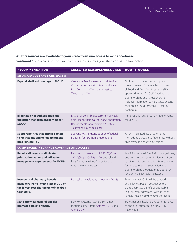#### **What resources are available to your state to ensure access to evidence-based**

**treatment?** Below are selected examples of state resources your state can use to take action.

| <b>RECOMMENDATION</b>                                                                                                                | <b>SELECTED EXAMPLE/RESOURCE</b>                                                                                                                                 | <b>HOW IT WORKS</b>                                                                                                                                                                                                                                                                                          |
|--------------------------------------------------------------------------------------------------------------------------------------|------------------------------------------------------------------------------------------------------------------------------------------------------------------|--------------------------------------------------------------------------------------------------------------------------------------------------------------------------------------------------------------------------------------------------------------------------------------------------------------|
| <b>MEDICAID COVERAGE AND ACCESS</b>                                                                                                  |                                                                                                                                                                  |                                                                                                                                                                                                                                                                                                              |
| <b>Expand Medicaid coverage of MOUD.</b>                                                                                             | <b>Centers for Medicare &amp; Medicaid Services</b><br>Guidance on Mandatory Medicaid State<br>Plan Coverage of Medication-Assisted<br>Treatment (2020)          | Outlines how states must comply with<br>the requirement in federal law to cover<br>all Food and Drug Administration (FDA)-<br>approved forms of MOUD (methadone,<br>buprenorphine and naltrexone) and<br>includes information to help states expand<br>their opioid use disorder (OUD) service<br>continuum. |
| <b>Eliminate prior authorization and</b><br>utilization management barriers for<br><b>MOUD.</b>                                      | District of Columbia Department of Health<br>Care Finance Removal of Prior Authorization<br>Requirements for Medication-Assisted<br>Treatment in Medicaid (2019) | Removes prior authorization requirements<br>for MOUD.                                                                                                                                                                                                                                                        |
| <b>Support policies that increase access</b><br>to methadone and opioid treatment<br>programs (OTPs).                                | Spokane, Washington adoption of federal<br>flexibility for take-home methadone                                                                                   | An OTP increased use of take-home<br>methadone pursuant to federal law without<br>an increase in negative outcomes.                                                                                                                                                                                          |
| <b>COMMERCIAL INSURANCE COVERAGE AND ACCESS</b>                                                                                      |                                                                                                                                                                  |                                                                                                                                                                                                                                                                                                              |
| <b>Require all payers to eliminate</b><br>prior authorization and utilization<br>management requirements for MOUD.                   | New York Insurance Law §§ 3216(i)(31-a);<br>3221(I)(7-a); 4303(I-1) (2020) and related<br>laws for Medicaid fee-for-service and<br>Medicaid managed care         | Prohibits Medicaid, Medicaid managed care,<br>and commercial insurers in New York from<br>requiring prior authorization for medication<br>for the treatment of SUD, including all<br>buprenorphine products, methadone, or<br>long-acting, injectable naltrexone.                                            |
| <b>Insurers and pharmacy benefit</b><br>managers (PBMs) must place MOUD on<br>the lowest cost-sharing tier of the drug<br>formulary. | Pennsylvania voluntary agreement (2018)                                                                                                                          | Provides that MOUD will be covered<br>at the lowest patient cost tier on the<br>plan's pharmacy benefit, as applicable,<br>in a voluntary agreement with seven of<br>Pennsylvania's largest commercial insurers.                                                                                             |
| State attorneys general can also<br>promote access to MOUD.                                                                          | New York Attorney General settlements,<br>including letters from Anthem (2017) and<br>Cigna (2016)                                                               | States national health plans' commitments<br>to end prior authorization for MOUD<br>nationwide.                                                                                                                                                                                                              |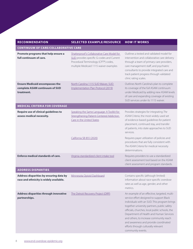| <b>RECOMMENDATION</b>                                                                  | <b>SELECTED EXAMPLE/RESOURCE</b>                                                                                                                                           | <b>HOW IT WORKS</b>                                                                                                                                                                                                                                                                                                                                                                                                                  |
|----------------------------------------------------------------------------------------|----------------------------------------------------------------------------------------------------------------------------------------------------------------------------|--------------------------------------------------------------------------------------------------------------------------------------------------------------------------------------------------------------------------------------------------------------------------------------------------------------------------------------------------------------------------------------------------------------------------------------|
| <b>CONTINUUM OF CARE/COLLABORATIVE CARE</b>                                            |                                                                                                                                                                            |                                                                                                                                                                                                                                                                                                                                                                                                                                      |
| Promote programs that help ensure a<br>full continuum of care.                         | Shatterproof's Collaborative Care Model for<br>SUD provides specific G-codes and Current<br>Procedural Terminology (CPT®) codes,<br>multiple Medicaid 1115 waiver examples | Outlines a tested and validated model for<br>intervention and collaborative care delivery<br>through a team of primary care providers,<br>care management staff, and psychiatric<br>consultants to provide integrated care and<br>track patient progress through validated<br>clinic rating scales.                                                                                                                                  |
| <b>Ensure Medicaid encompasses the</b><br>complete ASAM continuum of SUD<br>treatment. | North Carolina 1115 SUD Waiver, SUD<br>Implementation Plan Protocol (2019)                                                                                                 | Outlines North Carolina's plan to complete<br>its coverage of the full ASAM continuum<br>under Medicaid by adding new ASAM levels<br>of care and expanding coverage of existing<br>SUD services under its 1115 waiver.                                                                                                                                                                                                               |
| <b>MEDICAL CRITERIA FOR COVERAGE</b>                                                   |                                                                                                                                                                            |                                                                                                                                                                                                                                                                                                                                                                                                                                      |
| <b>Require use of clinical guidelines to</b><br>assess medical necessity.              | Speaking the Same Language: A Toolkit for<br>Strengthening Patient-Centered Addiction<br>Care in the United States                                                         | Provides strategies for integrating The<br>ASAM Criteria, the most widely used set<br>of evidence-based guidelines for patient<br>placement, continued stay, and transfer<br>of patients, into state approaches to SUD<br>services.                                                                                                                                                                                                  |
|                                                                                        | California SB 855 (2020)                                                                                                                                                   | Requires payer utilization of policies and<br>procedures that are fully consistent with<br>The ASAM Criteria for medical necessity<br>determinations.                                                                                                                                                                                                                                                                                |
| <b>Enforce medical standards of care.</b>                                              | Virginia standardized client intake tool                                                                                                                                   | Requires providers to use a standardized<br>client assessment tool based on the ASAM<br>client assessment and program standards.                                                                                                                                                                                                                                                                                                     |
| <b>ADDRESS DISPARITIES</b>                                                             |                                                                                                                                                                            |                                                                                                                                                                                                                                                                                                                                                                                                                                      |
| Address disparities by ensuring data by<br>race and ethnicity is widely available.     | Minnesota Opioid Dashboard                                                                                                                                                 | Contains specific (although limited)<br>information about race-specific overdose<br>rates as well as age, gender, and other<br>metrics.                                                                                                                                                                                                                                                                                              |
| Address disparities through innovative<br>partnerships.                                | The Detroit Recovery Project (DRP)                                                                                                                                         | An example of an effective, targeted, multi-<br>service effort designed to support Black<br>individuals with an SUD. This program brings<br>together university partners, public safety<br>officials, churches, local public schools, the<br>Department of Health and Human Services<br>and others, to increase community reach<br>and awareness and provide coordinated<br>efforts through culturally relevant<br>community events. |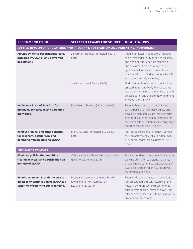#### **RECOMMENDATION SELECTED EXAMPLE/RESOURCE HOW IT WORKS**

| JUSTICE-INVOLVED POPULATIONS AND PREGNANT, POSTPARTUM AND PARENTING INDIVIDUALS                                                   |                                                                                              |                                                                                                                                                                                                                                                                                                              |  |
|-----------------------------------------------------------------------------------------------------------------------------------|----------------------------------------------------------------------------------------------|--------------------------------------------------------------------------------------------------------------------------------------------------------------------------------------------------------------------------------------------------------------------------------------------------------------|--|
| Provide evidence-based medical care,<br>including MOUD, to justice-involved<br>populations.                                       | 28 Vermont Statutes Annotated § 801b<br>(2018)                                               | Requires inmates in correctional facilities<br>to be screened for SUD as part of the initial<br>and ongoing substance use screening<br>and assessment process within 24 hours.<br>Specifies that inmates in a correctional<br>facility shall be entitled to continue MOUD<br>as long as medically necessary. |  |
|                                                                                                                                   | <b>Smith v. Aroostook County (2018)</b>                                                      | Finds that denial of access to medication-<br>assisted treatment (MAT) for incarcerated<br>people is in violation of the Americans with<br>Disabilities Act and the Eighth Amendment<br>of the U.S Constitution.                                                                                             |  |
| <b>Implement Plans of Safe Care for</b><br>pregnant, peripartum, and parenting<br>individuals.                                    | New Mexico Statutes § 32A-4-3 (2019)                                                         | Requires hospitals to identify all infants<br>with exposure to maternal drug use and<br>develop a plan of safe care that delineates<br>the specific after-hospital care needed for<br>the infant without automatically triggering a<br>report of child abuse or neglect.                                     |  |
| <b>Remove criminal and other penalties</b><br>for pregnant, postpartum, and<br>parenting women utilizing MOUD.                    | Montana Code Annotated § 50-32-609<br>(2019)                                                 | Provides safe harbor for pregnant women<br>seeking or receiving evaluation, treatment,<br>or support services for a substance use<br>disorder.                                                                                                                                                               |  |
| <b>TREATMENT POLICIES</b>                                                                                                         |                                                                                              |                                                                                                                                                                                                                                                                                                              |  |
| <b>Eliminate policies that condition</b><br>treatment access and participation on<br>non-use of MOUD.                             | California Senate Bill No. 992 (signed by the<br>governor September 2018)                    | Prohibits residential treatment facilities from<br>denying admission to potential patients<br>or discharging current patients because of<br>a valid prescription for an FDA-approved<br>medication for MOUD.                                                                                                 |  |
| <b>Require treatment facilities to ensure</b><br>access to or continuation of MOUD as a<br>condition of receiving public funding. | Missouri Department of Mental Health<br>(DMH) Memo: MAT Certification<br>Requirements (2016) | Requires that for agencies and providers to<br>remain certified and contracted with the<br>Missouri DMH, an agency must not only<br>offer or arrange for all forms of MOUD, but<br>offer or arrange for MOUD to be delivered in<br>an evidence-based way.                                                    |  |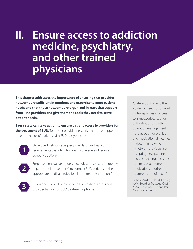## <span id="page-9-0"></span>**II. Ensure access to addiction medicine, psychiatry, and other trained physicians**

**This chapter addresses the importance of ensuring that provider networks are sufficient in numbers and expertise to meet patient needs and that those networks are organized in ways that support front-line providers and give them the tools they need to serve patient needs.**

**Every state can take action to ensure patient access to providers for the treatment of SUD.** To bolster provider networks that are equipped to meet the needs of patients with SUD, has your state:



Developed network adequacy standards and reporting requirements that identify gaps in coverage and require corrective action?

Employed innovative models (eg, hub-and-spoke, emergency department interventions) to connect SUD patients to the appropriate medical professionals and treatment options?



**2**

Leveraged telehealth to enhance both patient access and provider training on SUD treatment options?

"State actions to end the epidemic need to confront wide disparities in access to in-network care; prior authorization and other utilization management hurdles both for providers and medication; difficulties in determining which in-network providers are accepting new patients; and cost-sharing decisions that may place some medications or other treatments out of reach."

Bobby Mukkamala, MD, Chair, AMA Board of Trustees; Chair, AMA Substance Use and Pain Care Task Force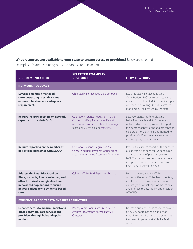#### **What resources are available to your state to ensure access to providers?** Below are selected

examples of state resources your state can use to take action.

| <b>RECOMMENDATION</b>                                                                                                                                                                                      | <b>SELECTED EXAMPLE/</b><br><b>RESOURCE</b>                                                                                                                   | <b>HOW IT WORKS</b>                                                                                                                                                                                                                                                                 |
|------------------------------------------------------------------------------------------------------------------------------------------------------------------------------------------------------------|---------------------------------------------------------------------------------------------------------------------------------------------------------------|-------------------------------------------------------------------------------------------------------------------------------------------------------------------------------------------------------------------------------------------------------------------------------------|
| <b>NETWORK ADEQUACY</b>                                                                                                                                                                                    |                                                                                                                                                               |                                                                                                                                                                                                                                                                                     |
| <b>Leverage Medicaid managed</b><br>care contracting to establish and<br>enforce robust network adequacy<br>requirements.                                                                                  | Ohio Medicaid Managed Care Contracts                                                                                                                          | Requires Medicaid Managed Care<br>Organizations (MCOs) to contract with a<br>minimum number of MOUD providers per<br>county and all willing Opioid Treatment<br>Programs (OTPs) licensed by the state.                                                                              |
| Require insurer reporting on network<br>capacity to provide MOUD.                                                                                                                                          | Colorado Insurance Regulation 4-2-75<br>Concerning Requirements for Reporting<br>Medication-Assisted Treatment Coverage<br>(based on 2019 Colorado state law) | Sets new standards for evaluating<br>behavioral health and SUD treatment<br>networks by requiring insurers to report<br>the number of physicians and other health<br>care professionals who are authorized to<br>provide MOUD and who are in-network<br>and accepting new patients. |
| Require reporting on the number of<br>patients being treated with MOUD.                                                                                                                                    | Colorado Insurance Regulation 4-2-75<br>Concerning Requirements for Reporting<br>Medication-Assisted Treatment Coverage                                       | Requires insurers to report on the number<br>of patients being seen for SUD and OUD<br>and the number of patients receiving<br>MOUD to help assess network adequacy<br>and patient access to in-network providers<br>treating patients with MOUD.                                   |
| <b>Address the inequities faced by</b><br>Black, Hispanic, American Indian, and<br>other historically marginalized and<br>minoritized populations to ensure<br>network adequacy to evidence-based<br>care. | California Tribal MAT Expansion Project                                                                                                                       | Leverages resources from Tribal<br>communities, urban Tribal health centers,<br>and the State to provide collaborative,<br>culturally appropriate approaches to care<br>and improve the availability and provision<br>of MOUD.                                                      |
|                                                                                                                                                                                                            |                                                                                                                                                               |                                                                                                                                                                                                                                                                                     |

#### **EVIDENCE-BASED TREATMENT INFRASTRUCTURE**

**Enhance access to medical, social, and other behavioral care services and providers through hub-and-spoke models.**

[Pennsylvania Coordinated Medication-](https://www.pahouse.com/files/Documents/2018-10-19_021236__PA%20Response%20to%20the%20Opioid%20Epidemic_updates.pdf)[Assisted Treatment Centers \(PacMAT](https://www.pahouse.com/files/Documents/2018-10-19_021236__PA%20Response%20to%20the%20Opioid%20Epidemic_updates.pdf)  [Centers\)](https://www.pahouse.com/files/Documents/2018-10-19_021236__PA%20Response%20to%20the%20Opioid%20Epidemic_updates.pdf)

Utilizes a hub-and-spoke model to provide MOUD by coordinating an addiction medicine specialist at the hub providing treatment to patients at eight PacMAT centers.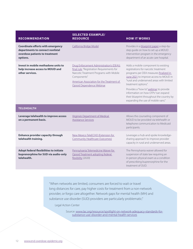| <b>RECOMMENDATION</b>                                                                                                     | <b>SELECTED EXAMPLE/</b><br><b>RESOURCE</b>                                                                                                                                                                                 | <b>HOW IT WORKS</b>                                                                                                                                                                                                                                                                                                                                                                                     |
|---------------------------------------------------------------------------------------------------------------------------|-----------------------------------------------------------------------------------------------------------------------------------------------------------------------------------------------------------------------------|---------------------------------------------------------------------------------------------------------------------------------------------------------------------------------------------------------------------------------------------------------------------------------------------------------------------------------------------------------------------------------------------------------|
| <b>Coordinate efforts with emergency</b><br>departments to connect nonfatal<br>overdose patients to treatment<br>options. | California Bridge Model                                                                                                                                                                                                     | Provides in a blueprint paper a step-by-<br>step guide on how to set up a MOUD<br>intervention program in the emergency<br>department of an acute care hospital.                                                                                                                                                                                                                                        |
| Invest in mobile methadone units to<br>help increase access to MOUD and<br>other services.                                | Drug Enforcement Administration's (DEA's)<br>final rule, "Registration Requirements for<br>Narcotic Treatment Programs with Mobile<br>Components"<br>American Association for the Treatment of<br>Opioid Dependence Webinar | Adds a mobile component to existing<br>registrations for narcotic treatment<br>programs per DEA measures finalized in<br>June 2021 to improve access to MOUD in<br>"rural and underserved areas with limited<br>treatment options."<br>Provides a "how to" webinar to provide<br>information on how OTPs "can expand<br>their blueprint throughout the country by<br>expanding the use of mobile vans." |
| <b>TELEHEALTH</b>                                                                                                         |                                                                                                                                                                                                                             |                                                                                                                                                                                                                                                                                                                                                                                                         |
| Leverage telehealth to improve access<br>on a permanent basis.                                                            | Virginia's Department of Medical<br><b>Assistance Services</b>                                                                                                                                                              | Allows the counseling component of<br>MOUD to be provided via telehealth or<br>telephone communication to Medicaid<br>participants.                                                                                                                                                                                                                                                                     |
| <b>Enhance provider capacity through</b><br>telehealth training.                                                          | New Mexico TeleECHO (Extension for<br><b>Community Healthcare Outcomes)</b>                                                                                                                                                 | Leverages a hub-and-spoke knowledge-<br>sharing approach to improve provider<br>capacity in rural and underserved areas.                                                                                                                                                                                                                                                                                |
| <b>Adopt federal flexibilities to initiate</b><br>buprenorphine for SUD via audio-only<br>telehealth.                     | Pennsylvania Telemedicine Waiver for<br>Opioid Treatment adopting federal<br>flexibility (2020)                                                                                                                             | The Pennsylvania waiver allowed for<br>suspension of state law requiring an<br>in-person physical exam as a condition<br>of prescribing buprenorphine for the<br>treatment of OUD.                                                                                                                                                                                                                      |

"When networks are limited, consumers are forced to wait or travel long distances for care, pay higher costs for treatment from a non-network provider, or forgo care altogether. Network gaps for mental health (MH) and substance use disorder (SUD) providers are particularly problematic."

Legal Action Center

Source: [www.lac.org/resource/spotlight-on-network-adequacy-standards-for](https://www.lac.org/resource/spotlight-on-network-adequacy-standards-for-substance-use-disorder-and-mental-health-services)[substance-use-disorder-and-mental-health-services](https://www.lac.org/resource/spotlight-on-network-adequacy-standards-for-substance-use-disorder-and-mental-health-services)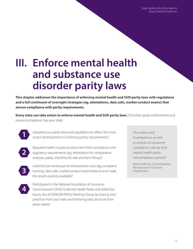State Toolkit to End the Nation's Drug Overdose Epidemic

## <span id="page-12-0"></span>**III. Enforce mental health and substance use disorder parity laws**

**This chapter addresses the importance of enforcing mental health and SUD parity laws with regulations and a full continuum of oversight strategies (eg, attestations, data calls, market conduct exams) that ensure compliance with parity requirements.**

**Every state can take action to enforce mental health and SUD parity laws.** To further parity enforcement and ensure compliance, has your state:



Updated your parity laws and regulations to reflect the most recent developments in enforcing parity requirements?



Required health insurers to document their compliance with regulatory requirements (eg, attestations for comparative analyses, parity checklists for rate and form filings)?



Used the full continuum of enforcement tools (eg, complaint tracking, data calls, market conduct examinations) and made the results publicly available?



Participated in the National Association of Insurance Commissioner's (NAIC's) Mental Health Parity and Addiction Equity Act of 2008 (MHPAEA) Working Group by sharing best practices from your state and following best practices from other states?

"Our exams and investigations, as well as analysis of consumer complaints, indicate that mental health parity noncompliance persists."

Jessica Altman, Commissioner, Pennsylvania Insurance Department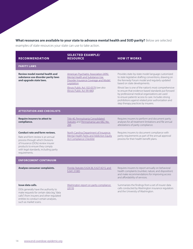**What resources are available to your state to advance mental health and SUD parity?** Below are selected

examples of state resources your state can use to take action.

| <b>RECOMMENDATION</b>                                                                                                                                                                                                                            | <b>SELECTED EXAMPLE/</b><br><b>RESOURCE</b>                                                                                                                                                                       | <b>HOW IT WORKS</b>                                                                                                                                                                                                                                                                                                                                                                                                                                                                                                   |
|--------------------------------------------------------------------------------------------------------------------------------------------------------------------------------------------------------------------------------------------------|-------------------------------------------------------------------------------------------------------------------------------------------------------------------------------------------------------------------|-----------------------------------------------------------------------------------------------------------------------------------------------------------------------------------------------------------------------------------------------------------------------------------------------------------------------------------------------------------------------------------------------------------------------------------------------------------------------------------------------------------------------|
| <b>PARITY LAWS</b>                                                                                                                                                                                                                               |                                                                                                                                                                                                                   |                                                                                                                                                                                                                                                                                                                                                                                                                                                                                                                       |
| <b>Review model mental health and</b><br>substance use disorder parity laws<br>and upgrade state laws.                                                                                                                                           | <b>American Psychiatric Association (APA)</b><br>Mental Health and Substance Use<br>Disorder Insurance Coverage and Model<br>Legislation<br>Illinois Public Act 102-0579 (see also<br>Illinois Public Act 99-480) | Provides state-by-state model language customized<br>to state legislative drafting conventions, drawing on<br>the Kennedy Forum model and regularly updated<br>based on state developments.<br>Illinois' law is one of the nation's most comprehensive<br>to ensure that evidence-based standards put forward<br>by professional medical organizations are used<br>to ensure patients' access to care. Includes strong<br>prohibitions against related prior authorization and<br>step therapy practices by insurers. |
| <b>ATTESTATION AND CHECKLISTS</b>                                                                                                                                                                                                                |                                                                                                                                                                                                                   |                                                                                                                                                                                                                                                                                                                                                                                                                                                                                                                       |
| <b>Require insurers to attest to</b><br>compliance.                                                                                                                                                                                              | Title 40, Pennsylvania Consolidated<br>Statutes and Pennsylvania Law 682, No.<br>284                                                                                                                              | Requires insurers to perform and document parity<br>analyses for all treatment limitations and file annual<br>attestations of parity compliance.                                                                                                                                                                                                                                                                                                                                                                      |
| <b>Conduct rate and form reviews.</b><br>Rate and form review is an annual<br>process through which Divisions<br>of Insurance (DOIs) review insurer<br>products to ensure they comply<br>with legal standards, including parity<br>requirements. | North Carolina Department of Insurance<br>Mental Health Parity and Addiction Equity<br>Act Compliance Checklist                                                                                                   | Requires insurers to document compliance with<br>parity requirements as part of the annual approval<br>process for their health benefit plans.                                                                                                                                                                                                                                                                                                                                                                        |
| <b>ENFORCEMENT CONTINUUM</b>                                                                                                                                                                                                                     |                                                                                                                                                                                                                   |                                                                                                                                                                                                                                                                                                                                                                                                                                                                                                                       |
| Analyze consumer complaints.                                                                                                                                                                                                                     | Florida Statutes § 624.36, § 627.4215, and<br>§ 641.31085                                                                                                                                                         | Requires insurers to report annually on behavioral<br>health complaints (number, nature, and disposition)<br>and make recommendations for improving access<br>and affordability of services.                                                                                                                                                                                                                                                                                                                          |
| Issue data calls.<br>DOIs generally have the authority to<br>make requests for certain data (eg, "data<br>calls") from insurers and other regulated<br>entities to conduct certain analyses,<br>such as market scans.                            | Washington report on parity compliance<br>(2019)                                                                                                                                                                  | Summarizes the findings from a set of insurer data<br>calls conducted by Washington insurance regulators<br>and the University of Washington.                                                                                                                                                                                                                                                                                                                                                                         |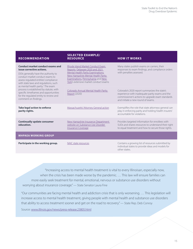| <b>RECOMMENDATION</b>                                                                                                                                                                                                                                                        | <b>SELECTED EXAMPLE/</b><br><b>RESOURCE</b>                                                                                                                                                                                    | <b>HOW IT WORKS</b>                                                                                                                                                                        |
|------------------------------------------------------------------------------------------------------------------------------------------------------------------------------------------------------------------------------------------------------------------------------|--------------------------------------------------------------------------------------------------------------------------------------------------------------------------------------------------------------------------------|--------------------------------------------------------------------------------------------------------------------------------------------------------------------------------------------|
| Conduct market conduct exams and<br>issue corrective actions.<br>DOIs generally have the authority to<br>conduct market conduct exams to<br>assess regulated entities' compliance<br>with state laws and regulations, such<br>as mental health parity. <sup>7</sup> The exam | Rhode Island Market Conduct Exam<br>Reports, Delaware 2020 and 2021<br>Mental Health Parity Examinations,<br>New Hampshire Mental Health Parity<br>Examinations, Pennsylvania and New<br>York's extensive market conduct exams | Many states publish exams on carriers, their<br>responses to exam findings, and compliance orders<br>with penalties assessed.                                                              |
| process is established by statute, with<br>specific timeframes and opportunities<br>for the regulated entity to review and<br>comment on findings.                                                                                                                           | Colorado Annual Mental Health Parity<br>Report (2020)                                                                                                                                                                          | Colorado's 2020 report summarizes the state's<br>experience with inadequate parity exams and the<br>commissioner's actions to upgrade exam standards<br>and initiate a new round of exams. |
| <b>Take legal action to enforce</b><br>parity rights.                                                                                                                                                                                                                        | Massachusetts' Attorney General action                                                                                                                                                                                         | Exemplifies the role that state attorneys general can<br>play in enforcing parity and holding health insurers'<br>accountable for violations                                               |
| <b>Continually update consumer</b><br>education.                                                                                                                                                                                                                             | New Hampshire Insurance Department<br>website on Substance Use Disorder<br><b>Insurance Coverage</b>                                                                                                                           | Provides targeted information for enrollees with<br>SUDs and shares resources to understand their right<br>to equal treatment and how to secure those rights.                              |
| <b>MHPAEA WORKING GROUP</b>                                                                                                                                                                                                                                                  |                                                                                                                                                                                                                                |                                                                                                                                                                                            |
| Participate in the working group.                                                                                                                                                                                                                                            | NAIC state resources                                                                                                                                                                                                           | Contains a growing list of resources submitted by<br>individual states to provide ideas and models for<br>other states.                                                                    |

"Increasing access to mental health treatment is vital to every Illinoisan, especially now, when the crisis has been made worse by the pandemic. … This law will ensure families can more easily seek treatment for mental, emotional, nervous or substance use disorders without worrying about insurance coverage." — State Senator Laura Fine

"Our communities are facing mental health and addiction crisis that is only worsening. … This legislation will increase access to mental health treatment, giving people with mental health and substance use disorders that ability to access treatment sooner and get on the road to recovery." — State Rep. Deb Conroy

Source: [www.illinois.gov/news/press-release.23805.html](https://www.illinois.gov/news/press-release.23805.html)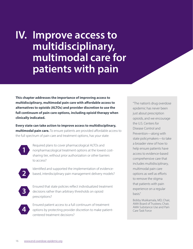<span id="page-15-0"></span>**IV. Improve access to multidisciplinary, multimodal care for patients with pain**

**This chapter addresses the importance of improving access to multidisciplinary, multimodal pain care with affordable access to alternatives to opioids (ALTOs) and provider discretion to use the full continuum of pain care options, including opioid therapy when clinically indicated.**

**Every state can take action to improve access to multidisciplinary, multimodal pain care.** To ensure patients are provided affordable access to the full spectrum of pain care and treatment options, has your state:



Required plans to cover pharmacological ALTOs and nonpharmacological treatment options at the lowest costsharing tier, without prior authorization or other barriers to access?



Identified and supported the implementation of evidencebased, interdisciplinary pain management delivery models?



Ensured that state policies reflect individualized treatment decisions rather than arbitrary thresholds on opioid prescriptions?



Ensured patient access to a full continuum of treatment options by protecting provider discretion to make patientcentered treatment decisions?

"The nation's drug overdose epidemic has never been just about prescription opioids, and we encourage the U.S. Centers for Disease Control and Prevention—along with state policymakers—to take a broader view of how to help ensure patients have access to evidence-based comprehensive care that includes multidisciplinary, multimodal pain care options as well as efforts to remove the stigma that patients with pain experience on a regular basis."

Bobby Mukkamala, MD, Chair, AMA Board of Trustees; Chair, AMA Substance Use and Pain Care Task Force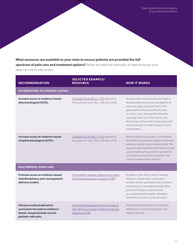#### **What resources are available to your state to ensure patients are provided the full spectrum of pain care and treatment options?** Below are selected examples of state resources your state can use to take action.

| <b>RECOMMENDATION</b>                                                                                                       | <b>SELECTED EXAMPLE/</b><br><b>RESOURCE</b>                                                                 | <b>HOW IT WORKS</b>                                                                                                                                                                                                                                                                                                                                                   |
|-----------------------------------------------------------------------------------------------------------------------------|-------------------------------------------------------------------------------------------------------------|-----------------------------------------------------------------------------------------------------------------------------------------------------------------------------------------------------------------------------------------------------------------------------------------------------------------------------------------------------------------------|
| <b>ALTERNATIVES TO OPIOIDS (ALTOS)</b>                                                                                      |                                                                                                             |                                                                                                                                                                                                                                                                                                                                                                       |
| Increase access to evidence-based<br>pharmacological ALTOs.                                                                 | Colorado House Bill 21-1276 (signed by<br>the governor June 2021, effective 2023)                           | Requires plans that provide prescription<br>drug benefits to provide coverage for at<br>least one atypical opioid that is FDA-<br>approved for the treatment of acute<br>or chronic pain and specifies that the<br>coverage must be at the lowest cost-<br>sharing tier of the carrier's formulary with<br>no requirement for step therapy or prior<br>authorization. |
| Increase access to evidence-based<br>nonpharmacological ALTOs.                                                              | Colorado House Bill 21-1276 (signed by<br>the governor June 2021, effective 2023)                           | Requires plans to provide a cost-sharing<br>benefit for nonpharmacological treatment<br>where an opioid might be prescribed. The<br>required cost-sharing benefit must include<br>a cost-sharing amount not to exceed the<br>cost-sharing amount for a primary care<br>visit for nonpreventive services.                                                              |
| <b>MULTIMODAL PAIN CARE</b>                                                                                                 |                                                                                                             |                                                                                                                                                                                                                                                                                                                                                                       |
| <b>Promote access to evidence-based</b><br>interdisciplinary pain management<br>delivery models.                            | The Swedish Hospital System's Structured<br><b>Functional Restoration Program (SFRP)</b>                    | Provides a "pain boot camp" involving<br>intensive coordination of care by a<br>number of pain specialists and providers,<br>including pain management specialists,<br>pain psychologists, physical and/<br>or occupational therapists, relaxation<br>therapists, and pain nurse educators.                                                                           |
| <b>Advance medical education</b><br>curriculum focused on evidence-<br>based, compassionate care for<br>patients with pain. | International Association for the Study of<br>Pain (IASP) Curriculum Outline on Pain for<br>Medicine (2018) | Outlines medical school curriculum to<br>embed pain care and education into<br>medical training.                                                                                                                                                                                                                                                                      |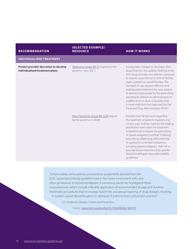#### **RECOMMENDATION**

#### **SELECTED EXAMPLE/ RESOURCE HOW IT WORKS**

#### **INDIVIDUALIZED TREATMENT**

**Protect provider discretion to develop individualized treatment plans.**

[Oklahoma Senate Bill 57](https://legiscan.com/CO/text/HB1276/id/2417684/Colorado-2021-HB1276-Enrolled.pdf) (signed by the governor June 2021)

[New Hampshire House Bill 1639](http://gencourt.state.nh.us/bill_status/legacy/bs2016/billText.aspx?id=1620&txtFormat=html&sy=2020) (signed by the governor in 2020)

Incorporates changes to the state's Anti-Drug Diversion Act, adding "Nothing in the Anti-Drug Diversion Act shall be construed to require a practitioner to limit or forcibly taper a patient on opioid therapy. The standard of care requires effective and individualized treatment for each patient as deemed appropriate by the prescribing practitioner without an administrative or codified limit on dose or quantity that is more restrictive than approved by the Food and Drug Administration (FDA)."

Provides that "All decisions regarding the treatment of patients experiencing chronic pain shall be made by the treating practitioner even when the treatment is determined to require the prescribing of opioid analgesics," and that "Ordering, prescribing, dispensing, administering, or paying for controlled substances, including opioid analgesics, shall not in any way be pre-determined by specific Morphine Milligram Equivalent (MME) guidelines."

"Unfortunately, some policies and practices purportedly derived from the [CDC opioid prescribing] guideline have in fact been inconsistent with, and often go beyond, its recommendations. A consensus panel has highlighted these inconsistencies, which include inflexible application of recommended dosage and duration thresholds and policies that encourage hard limits and abrupt tapering of drug dosages, resulting in sudden opioid discontinuation or dismissal of patients from a physician's practice."

US Centers for Disease Control and Prevention

Source: [www.nejm.org/doi/full/10.1056/NEJMp1904190](https://www.nejm.org/doi/full/10.1056/NEJMp1904190)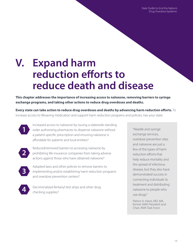State Toolkit to End the Nation's Drug Overdose Epidemic

## <span id="page-18-0"></span>**V. Expand harm reduction efforts to reduce death and disease**

**This chapter addresses the importance of increasing access to naloxone, removing barriers to syringe exchange programs, and taking other actions to reduce drug overdoses and deaths.**

**Every state can take action to reduce drug overdoses and deaths by advancing harm reduction efforts.** To increase access to lifesaving medication and support harm reduction programs and policies, has your state:

**1**

Increased access to naloxone by issuing a statewide standing order authorizing pharmacies to dispense naloxone without a patient-specific prescription and ensuring naloxone is affordable for patients and local entities?



Reduced/removed barriers to accessing naloxone by prohibiting life insurance companies from taking adverse actions against those who have obtained naloxone?



Adopted laws and other policies to remove barriers to implementing and/or establishing harm reduction programs and overdose prevention centers?



Decriminalized fentanyl test strips and other drug checking supplies?

"Needle and syringe exchange services, overdose prevention sites and naloxone are just a few of the types of harm reduction efforts that help reduce mortality and the spread of infectious disease, but they also have demonstrated success in connecting individuals to treatment and distributing naloxone to people who use drugs."

Patrice A. Harris, MD, MA, former AMA President and Chair, AMA Task Force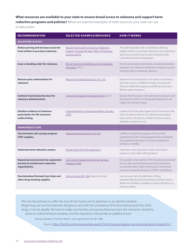#### **What resources are available to your state to ensure broad access to naloxone and support harm**

**reduction programs and policies?** Below are selected examples of state resources your state can use

to take action.

| <b>RECOMMENDATION</b>                                                                               | <b>SELECTED EXAMPLE/RESOURCE</b>                                                                             | <b>HOW IT WORKS</b>                                                                                                                                                                                                                 |
|-----------------------------------------------------------------------------------------------------|--------------------------------------------------------------------------------------------------------------|-------------------------------------------------------------------------------------------------------------------------------------------------------------------------------------------------------------------------------------|
| <b>NALOXONE ACCESS</b>                                                                              |                                                                                                              |                                                                                                                                                                                                                                     |
| Reduce pricing and increase access for<br>local entities to purchase naloxone.                      | Massachusetts Bulk Purchasing of Naloxone<br>Program through the State Office of Pharmacy<br>Services (SOPS) | The state negotiates with a wholesaler, allowing<br>eligible entities to purchase naloxone at the negotiated<br>rate as long as they have an active Massachusetts<br>Controlled Substance Registration.                             |
| Issue a standing order for naloxone.                                                                | Illinois' Standing Order/Naloxone Standardized<br>Procedure (2017)                                           | Permits pharmacies, pharmacists, and opioid overdose<br>education and naloxone distribution programs to use a<br>standing order to distribute naloxone.                                                                             |
| <b>Remove prior authorization for</b><br>naloxone.                                                  | Missouri Annotated Statutes § 191.1165                                                                       | Naloxone must be placed on the lowest cost-sharing<br>tier of an insurer's or PBM's formulary, including the<br>Missouri HealthNet program; prohibits any annual or<br>lifetime dollar limitations.                                 |
| <b>Institute Good Samaritan laws for</b><br>naloxone administration.                                | 18 Vermont Statutes Annotated § 4254 (2017)                                                                  | Ensures that the person who administers naloxone and<br>the person to whom it is being administered are not<br>subject to criminal charges.                                                                                         |
| <b>Disallow evidence of naloxone</b><br>prescription for life insurance<br>underwriting.            | Colorado Division of Insurance Bulletin (January<br>2020)                                                    | Guidance from the state Department of Insurance that<br>does not allow evidence of a naloxone prescription<br>to be used in the process of determining insurance<br>eligibility or premium cost.                                    |
| <b>HARM REDUCTION</b>                                                                               |                                                                                                              |                                                                                                                                                                                                                                     |
| Decriminalize safe syringe program<br>(SSP) supplies.                                               | Oregon Revised Statutes § 475.525                                                                            | Clarifies in statute "for purposes of this section<br>[regarding the sale of drug paraphernalia prohibited],<br>'drug paraphernalia' does not include hypodermic<br>syringes or needles."                                           |
| Authorize harm reduction centers.                                                                   | Rhode Island HB-5245 Substitute A                                                                            | Authorizes a two-year pilot of safe consumption<br>programs in the state of Rhode Island.                                                                                                                                           |
| <b>Expand personal protective equipment</b><br>priority to include harm reduction<br>organizations. | CDC Interim Guidance for Syringe Services<br>Programs, 2020                                                  | CDC guidance that clarifies "SSPs" should be considered<br>by the state, local, territorial, and tribal jurisdictions<br>as essential public health infrastructure that should<br>continue to operate during the COVID-19 pandemic. |
| Decriminalized fentanyl test strips and<br>other drug checking supplies                             | Arizona Senate Bill 1486 (signed into law)                                                                   | Law removes from the definition of "drug<br>paraphernalia" drug testing products that are used to<br>determine whether a substance contains fentanyl or a<br>fentanyl analog.                                                       |

"No one should have to suffer the loss of their loved one to addiction or accidental overdose. … Illegal drug use can be extremely dangerous, and with the prevalence of fentanyl being laced into other drugs, it can be deadly. We have to make sure families and young Arizonans have the resources needed to prevent a lethal fentanyl overdose, and this legislation will provide an additional tool."

Arizona Senator Christine March, who sponsored AZ SB 1486

Source: <https://thehill.com/homenews/state-watch/554419-arizona-legalizes-test-strips-that-detect-fentanyl?rl=1>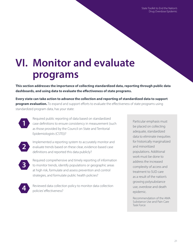State Toolkit to End the Nation's Drug Overdose Epidemic

## <span id="page-20-0"></span>**VI. Monitor and evaluate programs**

**This section addresses the importance of collecting standardized data, reporting through public data dashboards, and using data to evaluate the effectiveness of state programs.**

**Every state can take action to advance the collection and reporting of standardized data to support program evaluation.** To expand and support efforts to evaluate the effectiveness of state programs using standardized program data, has your state:



Required public reporting of data based on standardized case definitions to ensure consistency in measurement (such as those provided by the Council on State and Territorial Epidemiologists (CSTE))?



Implemented a reporting system to accurately monitor and evaluate trends based on these clear, evidence-based case definitions and reported this data publicly?



Required comprehensive and timely reporting of information to monitor trends, identify populations or geographic areas at high risk, formulate and assess prevention and control strategies, and formulate public health policies?



Reviewed data collection policy to monitor data collection policies' effectiveness?

Particular emphasis must be placed on collecting adequate, standardized data to eliminate inequities for historically marginalized and minoritized populations. Additional work must be done to address the increased complexity of access and treatment to SUD care as a result of the nation's growing polysubstance use, overdose and death epidemic.

Recommendation of the AMA Substance Use and Pain Care Task Force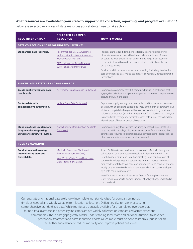#### **What resources are available to your state to support data collection, reporting, and program evaluation?**

Below are selected examples of state resources your state can use to take action.

| <b>RECOMMENDATION</b>                                                                                    | <b>SELECTED EXAMPLE/</b><br><b>RESOURCE</b>                                                                                                                                | <b>HOW IT WORKS</b>                                                                                                                                                                                                                                                                                                                                                                                                                                                                                                                                                                                                                       |  |
|----------------------------------------------------------------------------------------------------------|----------------------------------------------------------------------------------------------------------------------------------------------------------------------------|-------------------------------------------------------------------------------------------------------------------------------------------------------------------------------------------------------------------------------------------------------------------------------------------------------------------------------------------------------------------------------------------------------------------------------------------------------------------------------------------------------------------------------------------------------------------------------------------------------------------------------------------|--|
| <b>DATA COLLECTION AND REPORTING REQUIREMENTS</b>                                                        |                                                                                                                                                                            |                                                                                                                                                                                                                                                                                                                                                                                                                                                                                                                                                                                                                                           |  |
| Standardize data reporting.                                                                              | Recommended CSTE Surveillance<br>Indicators for Substance Abuse and<br>Mental Health (Version 3)<br><b>CDC National Notifiable Diseases</b><br>Surveillance System (NNDSS) | Provides standardized definitions to facilitate consistent reporting<br>of substance use and mental health surveillance indicators for use<br>by state and local public health departments. Regular collection of<br>these indicators will provide an opportunity to routinely analyze and<br>disseminate results.<br>Provides additional resources for data reporting, including standardized<br>case definitions to classify and count cases consistently across reporting<br>jurisdictions.                                                                                                                                            |  |
| <b>SURVEILLANCE SYSTEMS AND DASHBOARDS</b>                                                               |                                                                                                                                                                            |                                                                                                                                                                                                                                                                                                                                                                                                                                                                                                                                                                                                                                           |  |
| Create publicly available data<br>dashboards.                                                            | New Jersey Drug Overdose Dashboard                                                                                                                                         | Reports on a comprehensive list of metrics through a dashboard that<br>aggregates data from multiple state agencies to create a comprehensive<br>picture of OUD in the state.                                                                                                                                                                                                                                                                                                                                                                                                                                                             |  |
| <b>Capture data with</b><br>comprehensive information.                                                   | Indiana Drug Data Dashboard                                                                                                                                                | Reports county-by-county data on a dashboard that includes overdose<br>deaths (with an option to select drug type), emergency department (ED)<br>visits and hospital discharges (with an option to select drug type), and<br>naloxone distribution (including a heat map). The naloxone heat map, for<br>instance, tracks emergency medical services data in order for officials to<br>identify areas of high incidence of overdose.                                                                                                                                                                                                      |  |
| <b>Stand up a State Unintentional</b><br><b>Drug Overdose Reporting</b><br>Surveillance (SUDORS) system. | North Carolina Opioid Action Plan Data<br>Dashboard                                                                                                                        | Reports on county-level metrics, including hepatitis C data, deaths, ED<br>visits and MAT. Critically, it also includes resources for each metric that<br>counties are required to report upon and corresponding local actions to<br>direct community involvement and customization.                                                                                                                                                                                                                                                                                                                                                      |  |
| <b>POLICY EVALUATION</b>                                                                                 |                                                                                                                                                                            |                                                                                                                                                                                                                                                                                                                                                                                                                                                                                                                                                                                                                                           |  |
| <b>Conduct evaluations at set</b><br>intervals using state and<br>federal data.                          | Medicaid Outcomes Distributed<br>Research Network (MODRN)<br>West Virginia State Opioid Response<br><b>Grant Program Evaluation</b>                                        | Assess OUD treatment quality and outcomes in Medicaid through a<br>collaboration between Academy Health's Evidence-Informed State<br>Health Policy Institute and Data Coordinating Center and a group of<br>state Medicaid agencies and state universities that adopt a common<br>data model, contribute to a common analytic plan, and conduct analysis<br>locally on their own Medicaid data using standardized code developed<br>by a data coordinating center.<br>West Virginia's State Opioid Response Grant is funding West Virginia<br>University researchers to track the impact of policy changes adopted at<br>the state level. |  |

Current state and national data are largely incomplete, not standardized for comparison, not as timely as needed and widely variable from location to location. Difficulties also remain in accessing comprehensive, standardized data. While metrics are generally available for drug-related overdose, data for non-fatal overdose and other key indicators are not widely collected or standardized across states and communities. These data gaps greatly hinder understanding local, state and national situations to advance prevention, treatment and harm reduction efforts. Much more must be done to improve public health and other surveillance to reduce mortality and improve patient outcomes.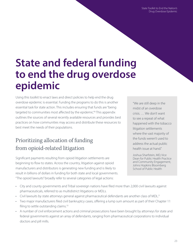State Toolkit to End the Nation's Drug Overdose Epidemic

## <span id="page-22-0"></span>**State and federal funding to end the drug overdose epidemic**

Using this toolkit to enact laws and direct policies to help end the drug overdose epidemic is essential. Funding the programs to do this is another essential task for state action. This includes ensuring that funds are "being targeted to communities most affected by the epidemic."[8](#page-76-0) This appendix outlines the sources of several recently available resources and provides best practices on how communities may access and distribute these resources to best meet the needs of their populations.

## Prioritizing allocation of funding from opioid-related litigation

Significant payments resulting from opioid litigation settlements are beginning to flow to states. Across the country, litigation against opioid manufacturers and distributors is generating new funding and is likely to result in billions of dollars in funding for both state and local governments. "The opioid lawsuits" broadly refer to several categories of legal actions:

"We are still deep in the midst of an overdose crisis. … We don't want to see a repeat of what happened with the tobacco litigation settlements where the vast majority of the funds weren't used to address the actual public health issue at hand."

Joshua Sharfstein, MD, Vice Dean for Public Health Practice and Community Engagement, Johns Hopkins Bloomberg School of Public Health

- City and county governments and Tribal sovereign nations have filed more than 2,000 civil lawsuits against pharmaceuticals, referred to as multidistrict litigations or MDLs.
- Civil lawsuits by state attorneys general against pharmaceutical defendants are another class of MDL.[9](#page-76-0)
- Two major manufacturers filed civil bankruptcy cases, offering a lump sum amount as part of their Chapter 11 filing to settle outstanding claims.<sup>[10](#page-76-0)</sup>
- A number of civil enforcement actions and criminal prosecutions have been brought by attorneys for state and federal governments against an array of defendants, ranging from pharmaceutical corporations to individual doctors and pill mills.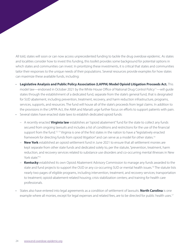All told, states will soon or can now access unprecedented funding to tackle the drug overdose epidemic. As states and localities consider how to invest this funding, this toolkit provides some background for potential options in which states and communities can invest. In prioritizing these investments, it is critical that states and communities tailor their responses to the unique needs of their populations. Several resources provide examples for how states can maximize these available funds, including:

- **Legislative Analysis and Public Policy Association (LAPPA) Model Opioid Litigation Proceeds Act.** This model law—endorsed in October 2021 by the White House Office of National Drug Control Policy<sup>[11](#page-77-0)</sup>—will guide states through the establishment of a dedicated fund, separate from the state's general fund, that is designated for SUD abatement, including prevention, treatment, recovery, and harm reduction infrastructure, programs, services, supports, and resources. The fund will house all of the state's proceeds from legal claims. In addition to the provisions in the LAPPA Act, the AMA and Manatt urge further focus on efforts to support patients with pain.
- Several states have enacted state laws to establish dedicated opioid funds:
	- A recently enacted **Virginia law** establishes an "opioid abatement" fund for the state to collect any funds secured from ongoing lawsuits and includes a list of conditions and restrictions for the use of the financial support from the fund.<sup>[12, 13](#page-77-0)</sup> Virginia is one of the first states in the nation to have a "legislatively enacted framework for directing funds from opioid litigation" and can serve as a model for other states.<sup>[14](#page-77-0)</sup>
	- **New York** established an opioid settlement fund in June 2021 to ensure that all settlement monies are kept separate from other state funds and dedicated solely to, per the statute, "prevention, treatment, harm reduction, and recovery services related to substance use disorders and co-occurring mental illnesses in New York state."<sup>[15](#page-77-0)</sup>
	- **Kentucky** established its own Opioid Abatement Advisory Commission to manage any funds awarded to the state and fund projects to support the OUD or any co-occurring SUD or mental health issues.<sup>[16](#page-77-0)</sup> The statute lists nearly two pages of eligible programs, including intervention, treatment, and recovery services; transportation to treatment; opioid-abatement-related housing; crisis stabilization centers; and training for health care professionals.
- States also have entered into legal agreements as a condition of settlement of lawsuits. **North Carolina** is one example where all monies, except for legal expenses and related fees, are to be directed for public health uses.<sup>[17](#page-77-0)</sup>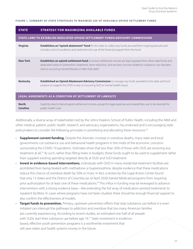#### **FIGURE 1. SUMMARY OF STATE STRATEGIES TO MAXIMIZE USE OF AVAILABLE OPIOID SET TLEMENT FUNDS**

| <b>STATE</b>                                                     | <b>STRATEGY FOR MAXIMIZING AVAILABLE FUNDS</b>                                                                                                                                                                                                                                                         |  |
|------------------------------------------------------------------|--------------------------------------------------------------------------------------------------------------------------------------------------------------------------------------------------------------------------------------------------------------------------------------------------------|--|
|                                                                  | STATE LAWS TO ESTABLISH DEDICATED OPIOID SETTLEMENT FUNDS/ADVISORY COMMISSIONS                                                                                                                                                                                                                         |  |
| <b>Virginia</b>                                                  | <b>Establishes an "opioid abatement" fund</b> for the state to collect any funds secured from ongoing lawsuits and<br>includes a list of conditions and restrictions for use of the financial support from the fund.                                                                                   |  |
| <b>New York</b>                                                  | <b>Establishes an opioid settlement fund</b> to ensure settlement monies are kept separate from other state funds and<br>dedicated solely to "prevention, treatment, harm reduction, and recovery services related to substance use disorders<br>and co-occurring mental illnesses in New York state." |  |
| <b>Kentucky</b>                                                  | <b>Established an Opioid Abatement Advisory Commission</b> to manage any funds awarded to the state and fund<br>projects to support the OUD or any co-occurring SUD or mental health issues                                                                                                            |  |
| <b>LEGAL AGREEMENTS AS A CONDITION OF SETTLEMENT OF LAWSUITS</b> |                                                                                                                                                                                                                                                                                                        |  |
| <b>North</b><br><b>Carolina</b>                                  | Explicitly directs that all opioid settlement monies, except for legal expenses and related fees, are to be directed for<br>public health uses.                                                                                                                                                        |  |

Additionally, a diverse array of stakeholders led by the Johns Hopkins School of Public Health, including the AMA and other medical, patient, public health, research, and advocacy organizations, has endorsed and is encouraging state policymakers to consider the following principles in prioritizing and allocating these resources:<sup>[18](#page-77-0)</sup>

- **Supplement current funding.** Despite the dramatic increase in overdose deaths, many state and local governments cut substance use and behavioral health programs in the midst of the economic concerns surrounding the COVID-19 pandemic. Estimates show that less than 20% of those with OUD are receiving any treatment at all.[19](#page-77-0) As such, rather than filling holes in budgets, these funds ought to be used to supplement rather than supplant existing spending targeted directly at OUD and SUD treatment.
- **Invest in evidence-based interventions.** Individuals with OUD in many residential treatment facilities are prohibited from being treated with methadone or buprenorphine, despite evidence that these medications reduce the chance of overdose death by 50% or more. In fact, a review by the Legal Action Center found that only 13 states and the District of Columbia (as of April 2020) barred Medicaid programs from requiring prior authorization for at least one of these medications.<sup>[20](#page-77-0)</sup> This influx in funding may be leveraged to advance interventions with a strong evidence base—like extending the full array of medication assisted treatments to inpatient facilities. In cases where programs have not been studied, there should be enough financial support to also confirm the effectiveness of models.
- **Target funds to prevention.** Primary, upstream prevention efforts that stop substance use before it is even initiated can interrupt the pathways to addiction and overdose that too many American families are currently experiencing. According to recent studies, an estimated one-half of all people with SUDs start their substance use before age 14.<sup>[21](#page-77-0)</sup> State investment in evidencebased, effective youth prevention programs is a worthwhile investment that will save states and health systems money in the future.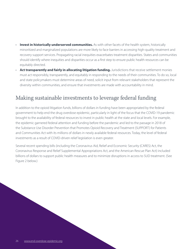- **Invest in historically underserved communities.** As with other facets of the health system, historically minoritized and marginalized populations are more likely to face barriers in accessing high-quality treatment and recovery support services. Propagating racial inequities exacerbates treatment disparities. States and communities should identify where inequities and disparities occur as a first step to ensure public health resources can be equitably directed.
- **Act transparently and fairly in allocating litigation funding.** Jurisdictions that receive settlement monies must act responsibly, transparently, and equitably in responding to the needs of their communities. To do so, local and state policymakers must determine areas of need, solicit input from relevant stakeholders that represent the diversity within communities, and ensure that investments are made with accountability in mind.

### Making sustainable investments to leverage federal funding

In addition to the opioid litigation funds, billions of dollars in funding have been appropriated by the federal government to help end the drug overdose epidemic, particularly in light of the focus that the COVID-19 pandemic brought to the availability of federal resources to invest in public health at the state and local levels. For example, the epidemic garnered federal attention and funding before the pandemic and led to the passage in 2018 of the Substance Use Disorder Prevention that Promotes Opioid Recovery and Treatment (SUPPORT) for Patients and Communities Act with its millions of dollars in newly available federal resources. Today, the level of federal investments as a result of COVID-driven relief legislation is even greater.

Several recent spending bills (including the Coronavirus Aid, Relief and Economic Security (CARES) Act, the Coronavirus Response and Relief Supplemental Appropriations Act, and the American Rescue Plan Act) included billions of dollars to support public health measures and to minimize disruptions in access to SUD treatment. (See Figure 2 below.)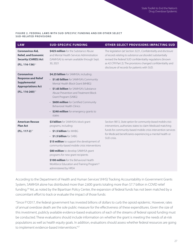#### **FIGURE 2. FEDERAL LAWS WITH SUD-SPECIFIC FUNDING AND/OR OTHER SELECT SUD-RELATED PROVISIONS**

| <b>LAW</b>                                                                                                                    | <b>SUD-SPECIFIC FUNDING</b>                                                                                                                                                                                                                                                                                                                                                                                                       | OTHER SELECT PROVISIONS IMPACTING SUD                                                                                                                                                                                                                                                                           |
|-------------------------------------------------------------------------------------------------------------------------------|-----------------------------------------------------------------------------------------------------------------------------------------------------------------------------------------------------------------------------------------------------------------------------------------------------------------------------------------------------------------------------------------------------------------------------------|-----------------------------------------------------------------------------------------------------------------------------------------------------------------------------------------------------------------------------------------------------------------------------------------------------------------|
| <b>Coronavirus Aid,</b><br><b>Relief, and Economic</b><br><b>Security (CARES) Act</b><br>$(P.L. 116-136)^{22}$                | <b>\$425 million</b> for the Substance Abuse<br>and Mental Health Services Administration<br>(SAMHSA) to remain available through Sept.<br>30, 2021                                                                                                                                                                                                                                                                               | The legislation (at Section 3221, Confidentiality and disclosure<br>of records relating to substance use disorder) substantially<br>revised the federal SUD confidentiality regulations (known<br>as 42 CFR Part 2). The provisions changed confidentiality and<br>disclosure of records for patients with SUD. |
| <b>Coronavirus</b><br><b>Response and Relief</b><br><b>Supplemental</b><br><b>Appropriations Act</b><br>$(P.L. 116-260)^{23}$ | \$4.25 billion for SAMHSA, including:<br>• \$1.65 billion for SAMHSA's Community<br>Mental Health Block Grant (MHBG)<br>• <b>\$1.65 billion</b> for SAMHSA's Substance<br>Abuse Prevention and Treatment Block<br>Grant Program (SABG)<br>• \$600 million for Certified Community<br><b>Behavioral Health Clinics</b><br>• \$240 million for emergency grants to<br>states                                                        |                                                                                                                                                                                                                                                                                                                 |
| <b>American Rescue</b><br><b>Plan Act</b><br>$(P.L. 117-2)^{24}$                                                              | \$3 billion for SAMHSA's block grant<br>programs, including:<br>• \$1.5 billion for MHBG<br>$\cdot$ \$1.5 billion for SABG<br>\$15 million to support the development of<br>community-based mobile crisis interventions<br>\$80 million to develop SAMHSA grant<br>programs for new grant recipients<br>\$100 million for the Behavioral Health<br>Workforce Education and Training Program <sup>25</sup><br>administered by HRSA | Section 9813, State option for community-based mobile crisis<br>interventions, authorizes states to claim Medicaid matching<br>funds for community-based mobile crisis intervention services<br>for Medicaid beneficiaries experiencing a mental health or<br>SUD crisis.                                       |

According to the Department of Health and Human Services' (HHS) Tracking Accountability in Government Grants System, SAMHSA alone has distributed more than 2,600 grants totaling more than \$7.7 billion in COVID relief funding.<sup>[26](#page-78-0)</sup> Yet, as noted by the Bipartisan Policy Center, the expansion of federal funds has not been matched by a concomitant effort to track or evaluate the impact of those funds:

"Since FY2017, the federal government has invested billions of dollars to curb the opioid epidemic. However, rates of annual overdose death are the sole public measure for the effectiveness of these expenditures. Given the size of this investment, publicly available evidence-based evaluations of each of the streams of federal opioid funding must be conducted. These evaluations should include information on whether the grant is meeting the needs of at-risk populations as well as health equity goals. In addition, evaluations should assess whether federal resources are going to implement evidence-based interventions."<sup>[27](#page-78-0)</sup>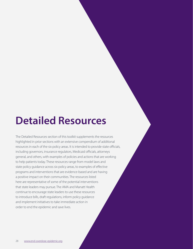## <span id="page-27-0"></span>**Detailed Resources**

The Detailed Resources section of this toolkit supplements the resources highlighted in prior sections with an extensive compendium of additional resources in each of the six policy areas. It is intended to provide state officials, including governors, insurance regulators, Medicaid officials, attorneys general, and others, with examples of policies and actions that are working to help patients today. These resources range from model laws and state policy guidance across six policy areas, to examples of effective programs and interventions that are evidence-based and are having a positive impact on their communities. The resources listed here are representative of some of the potential interventions that state leaders may pursue. The AMA and Manatt Health continue to encourage state leaders to use these resources to introduce bills, draft regulations, inform policy guidance and implement initiatives to take immediate action in order to end the epidemic and save lives.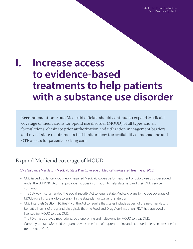State Toolkit to End the Nation's Drug Overdose Epidemic

## **I. Increase access to evidence-based treatments to help patients with a substance use disorder**

Recommendation: State Medicaid officials should continue to expand Medicaid coverage of medications for opioid use disorder (MOUD) of all types and all formulations, eliminate prior authorization and utilization management barriers, and revisit state requirements that limit or deny the availability of methadone and OTP access for patients seeking care.

### Expand Medicaid coverage of MOUD

- [CMS Guidance Mandatory Medicaid State Plan Coverage of Medication-Assisted Treatment \(2020\)](https://www.medicaid.gov/federal-policy-guidance/downloads/sho20005.pdf)
	- CMS issued guidance about newly required Medicaid coverage for treatment of opioid use disorder added under the SUPPORT Act. The guidance includes information to help states expand their OUD service continuum.
	- The SUPPORT Act amended the Social Security Act to require state Medicaid plans to include coverage of MOUD for all those eligible to enroll in the state plan or waiver of state plan.
	- CMS interprets Section 1905(ee)(1) of the Act to require that states include as part of the new mandatory benefit all forms of drugs and biologicals that the Food and Drug Administration (FDA) has approved or licensed for MOUD to treat OUD.
	- The FDA has approved methadone, buprenorphine and naltrexone for MOUD to treat OUD.
	- Currently, all state Medicaid programs cover some form of buprenorphine and extended-release naltrexone for treatment of OUD.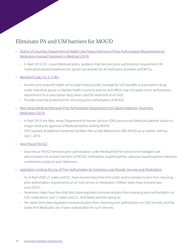### Eliminate PA and UM barriers for MOUD

- [District of Columbia Department of Health Care Finance Removal of Prior Authorization Requirements for](https://dhcf.dc.gov/sites/default/files/dc/sites/dhcf/publication/attachments/Policy%20%2319-001%20Removal%20of%20Prior%20Auth.%20Req.%20for%20Medication-Assis_0.pdf)  [Medication-Assisted Treatment in Medicaid \(2019\)](https://dhcf.dc.gov/sites/default/files/dc/sites/dhcf/publication/attachments/Policy%20%2319-001%20Removal%20of%20Prior%20Auth.%20Req.%20for%20Medication-Assis_0.pdf)
	- In April 2019, D.C. issued Medicaid policy guidance that removes prior authorization requirements for medication-assisted treatment for opioid use disorder for all medication providers and MCOs.
- [Maryland Code, Ins. § 15-851](https://casetext.com/statute/code-of-maryland/article-insurance/title-15-health-insurance/subtitle-8-required-health-insurance-benefits/section-15-851-prior-authorization-for-drug-products-to-treat-opioid-use-disorder-prohibition)
	- Insurers and nonprofit health service plans that provide coverage for SUD benefits or prescription drugs under individual, group, or blanket health insurance policies and HMOs may not apply a prior authorization requirement for a prescription drug when used for treatment of an OUD.
	- Provides essential protections for removing prior authorization of MOUD.
- New Jersey Medicaid Removes Prior Authorization Requirements for Opioid Addiction Treatment [Medication \(2019\)](https://www.state.nj.us/humanservices/news/press/2019/approved/20190401.html)
	- In April 2019, the New Jersey Department of Human Services (DHS) announced Medicaid patients would no longer need prior approval of Medicaid before starting MOUD.
	- DHS required all addiction treatment facilities that accept Medicaid to offer MOUD as an option, starting July 1, 2019.
- [Iowa House File 623](https://www.legis.iowa.gov/legislation/BillBook?ga=88&ba=HF623)
	- Iowa House File 623 removes prior authorization under Medicaid fee-for-service and managed care administration for at least one form of MOUD: methadone, buprenorphine, naloxone, buprenorphine-naloxone combination products and naltrexone.
- [Legislation Limiting the Use of Prior Authorization for Substance Use Disorder Services and Medications](https://www.lac.org/assets/files/Prior-Authorization-Spotlight-FINAL-use-this-one.pdf)
	- As of April 2020, 21 states and D.C. have enacted laws that limit public and/or private insurers from imposing prior authorization requirements on an SUD service or medication. (Fifteen states have enacted laws since 2019.)
	- Seventeen states have laws that limit state-regulated commercial plans from imposing prior authorization on SUD medications, and 13 states and D.C. limit Medicaid from doing so.
	- Ten states limit state-regulated commercial plans from imposing prior authorization on SUD services, and five states limit Medicaid's use of prior authorization for such services.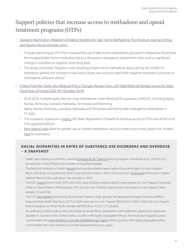## Support policies that increase access to methadone and opioid treatment programs (OTPs)

- [Spokane, Washington Adoption of Federal Flexibility for Take-Home Methadone, The American Journal of Drug](https://www.tandfonline.com/doi/full/10.1080/00952990.2021.1979991)  [and Alcohol Abuse \(October 2021\)](https://www.tandfonline.com/doi/full/10.1080/00952990.2021.1979991)
	- A study examining an OTP that increased the use of take-home methadone pursuant to federal law found that the increased take-home medication led to a decrease in emergency department visits, and no significant change in overdose or negative urine drug tests.
	- The study concluded, "Despite a near-doubling of take-home methadone doses during the COVID-19 exemption period, the increase in take-home doses was not associated with negative treatment outcomes in methadone-adherent clients."
- [A View From the States: Key Medicaid Policy Changes: Results From a 50-State Medicaid Budget Survey for State](https://www.kff.org/report-section/a-view-from-the-states-key-medicaid-policy-changes-benefits-and-cost-sharing/)  [Fiscal Years 2019 and 2020, KFF \(October 2019\)](https://www.kff.org/report-section/a-view-from-the-states-key-medicaid-policy-changes-benefits-and-cost-sharing/)
	- As of 2019, multiple states did not cover methadone under Medicaid for purposes of MOUD, including Idaho, Kansas, Kentucky, Louisiana, Nebraska, Tennessee and Wyoming.
	- Idaho, Kansas, Kentucky, Louisiana, Nebraska and Tennessee planned to add coverage for methadone in FY 2020.
	- The Louisiana Legislature is [urging](http://www.legis.la.gov/legis/ViewDocument.aspx?d=1142206) the State Department of Health to increase access to OTPs and all forms of FDA-approved MOUD.
	- [New federal rules](https://www.dea.gov/press-releases/2021/06/28/dea-finalizes-measures-expand-medication-assisted-treatment) allow for greater use of mobile methadone vans, but states must invest (search for "mobile" [here](https://end-overdose-epidemic.org/wp-content/uploads/2021/03/AMA-Issue-Brief-Reports-of-Efforts-to-Help-End-the-National-Overdose-Epidemic-September-2021.pdf) for examples).

#### **RACIAL DISPARITIES IN RATES OF SUBSTANCE USE DISORDERS AND OVERDOSE – A SNAPSHOT**

- Death rates relating to synthetic opioids [increased by 617 percent](https://store.samhsa.gov/sites/default/files/SAMHSA_Digital_Download/PEP20-05-02-002_0.pdf) among Hispanic individuals from 2014 to 2017, second only to the 818 percent increase among Black people.
- The National Institutes of Health [reports](https://ajph.aphapublications.org/doi/10.2105/AJPH.2021.306431) that overdose deaths were nearly 40 percent higher for non-Hispanic Black individuals compared with other races and ethnicities in 2019, and more than [10 percent](https://www.samhsa.gov/data/sites/default/files/reports/rpt31098/2019NSDUH-AIAN/AIAN%202019%20NSDUH.pdf) of American Indian/ Alaskan Natives had a substance use disorder in 2019.
- The CDC [reports](https://www.cdc.gov/nchs/products/databriefs/db428.htm?mc_cid=42c079cc27&mc_eid=7b8e6ca456) that in both 2019 and 2020, rates of drug overdose deaths were highest for non-Hispanic American Indian or Alaska Native (AIAN) people (30.5 and 42.5 per 100,000, respectively) and lowest for non-Hispanic Asian people (3.3 and 4.6).
- The CDC [also reports](https://www.cdc.gov/nchs/products/databriefs/db428.htm?mc_cid=42c079cc27&mc_eid=7b8e6ca456) that among all race and Hispanic-origin groups, the largest percentage increases (44%) in drug overdose death rates from 2019 to 2020 were seen in non-Hispanic Black (from 24.8 to 35.8) and non-Hispanic Native Hawaiian or Other Pacific Islander (NHOPI) (from 9.5 to 13.7) people.
- According to a 2020 study on the association of racial/ethnic segregation with treatment capacity for opioid use disorder in counties in the United States, counties with highly segregated African American and Hispanic/Latino communities had [more facilities to provide methadone per capita,](https://jamanetwork.com/journals/jamanetworkopen/fullarticle/2764663) while counties with highly segregated white communities had more facilities to provide buprenorphine per capita.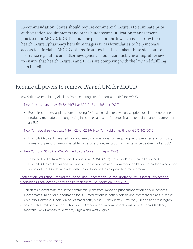Recommendation: States should require commercial insurers to eliminate prior authorization requirements and other burdensome utilization management practices for MOUD. MOUD should be placed on the lowest cost-sharing tier of health insurer/pharmacy benefit manager (PBM) formularies to help increase access to affordable MOUD options. In states that have taken these steps, state insurance regulators and attorneys general should conduct a meaningful review to ensure that health insurers and PBMs are complying with the law and fulfilling plan benefits.

### Require all payers to remove PA and UM for MOUD

- New York Laws Prohibiting All Plans From Requiring Prior Authorization (PA) for MOUD
	- [New York Insurance Law §§ 3216\(i\)\(31-a\); 3221\(l\)\(7-a\); 4303\(l-1\) \(2020\)](https://www.nysenate.gov/legislation/laws/ISC/3216)
		- Prohibits commercial plans from imposing PA for an initial or renewal prescription for all buprenorphine products, methadone, or long-acting injectable naltrexone for detoxification or maintenance treatment of an SUD.
	- [New York Social Services Law § 364-j\(26-b\) \(2019\)](https://www.nysenate.gov/legislation/laws/SOS/364-J); [New York Public Health Law § 273\(10\) \(2019\)](https://www.nysenate.gov/legislation/laws/PBH/273)
		- Prohibits Medicaid managed care and fee-for-service plans from requiring PA for preferred and formulary forms of buprenorphine or injectable naltrexone for detoxification or maintenance treatment of an SUD.
	- [New York S. 7506-B/A. 9506-B \(Signed by the Governor in April 2020\)](https://nyassembly.gov/2020budget/2020budget/A9506b.pdf)
		- To be codified at New York Social Services Law § 364-j(26-c); New York Public Health Law § 273(10).
		- Prohibits Medicaid managed care and fee-for-service providers from requiring PA for methadone when used for opioid use disorder and administered or dispensed in an opioid treatment program.
- [Spotlight on Legislation Limiting the Use of Prior Authorization \(PA\) for Substance Use Disorder Services and](https://www.lac.org/assets/files/Prior-Authorization-Spotlight-FINAL-use-this-one.pdf)  [Medications, Legal Action Center and Partnership to End Addiction \(April 2020\)](https://www.lac.org/assets/files/Prior-Authorization-Spotlight-FINAL-use-this-one.pdf)
	- Ten states prevent state-regulated commercial plans from imposing prior authorization on SUD services.
	- Eleven states limit prior authorization for SUD medications in both Medicaid and commercial plans: Arkansas, Colorado, Delaware, Illinois, Maine, Massachusetts, Missouri, New Jersey, New York, Oregon and Washington.
	- Seven states limit prior authorization for SUD medications in commercial plans only: Arizona, Maryland, Montana, New Hampshire, Vermont, Virginia and West Virginia.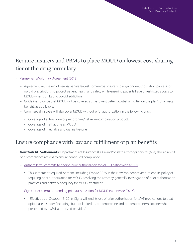## Require insurers and PBMs to place MOUD on lowest cost-sharing tier of the drug formulary

- [Pennsylvania Voluntary Agreement \(2018\)](https://www.media.pa.gov/Pages/Insurance-Details.aspx?newsid=344)
	- Agreement with seven of Pennsylvania's largest commercial insurers to align prior-authorization process for opioid prescriptions to protect patient health and safety while ensuring patients have unrestricted access to MOUD when combating opioid addiction.
	- Guidelines provide that MOUD will be covered at the lowest patient cost-sharing tier on the plan's pharmacy benefit, as applicable.
	- Commercial insurers will also cover MOUD without prior authorization in the following ways:
		- Coverage of at least one buprenorphine/naloxone combination product.
		- Coverage of methadone as MOUD.
		- Coverage of injectable and oral naltrexone.

### Ensure compliance with law and fulfillment of plan benefits

- **New York AG Settlements:** Departments of Insurance (DOIs) and/or state attorneys general (AGs) should revisit prior compliance actions to ensure continued compliance.
	- [Anthem letter commits to ending prior authorization for MOUD nationwide](https://ag.ny.gov/sites/default/files/final_letter_agreement_anthem-empire_mat_010117.pdf) (2017).
		- This settlement required Anthem, including Empire BCBS in the New York service area, to end its policy of requiring prior authorization for MOUD, resolving the attorney general's investigation of prior authorization practices and network adequacy for MOUD treatment.
	- [Cigna letter commits to ending prior authorization for MOUD nationwide](https://ag.ny.gov/sites/default/files/ny_oag-cigna_mat_letter_agreement_101916.pdf) (2016).
		- "Effective as of October 15, 2016, Cigna will end its use of prior authorization for MAT medications to treat opioid use disorder (including, but not limited to, buprenorphine and buprenorphine/naloxone) when prescribed by a MAT-authorized provider."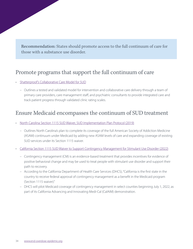Recommendation: States should promote access to the full continuum of care for those with a substance use disorder.

### Promote programs that support the full continuum of care

- [Shatterproof's Collaborative Care Model for SUD](https://www.shatterproof.org/sites/default/files/2020-07/Collaborative%20Care%20Model%20for%20SUD%20White%20Paper.pdf)
	- Outlines a tested and validated model for intervention and collaborative care delivery through a team of primary care providers, care management staff, and psychiatric consultants to provide integrated care and track patient progress through validated clinic rating scales.

### Ensure Medicaid encompasses the continuum of SUD treatment

- [North Carolina Section 1115 SUD Waiver, SUD Implementation Plan Protocol \(2019\)](https://www.medicaid.gov/Medicaid-CHIP-Program-Information/By-Topics/Waivers/1115/downloads/nc/Medicaid-Reform/nc-medicaid-reform-demo-sud-imp-plan-prtcl-20190425.pdf)
	- Outlines North Carolina's plan to complete its coverage of the full American Society of Addiction Medicine (ASAM) continuum under Medicaid by adding new ASAM levels of care and expanding coverage of existing SUD services under its Section 1115 waiver.
- [California Section 1115 SUD Waiver to Support Contingency Management for Stimulant Use Disorder \(2022\)](https://www.dhcs.ca.gov/Pages/DMC-ODS-Contingency-Management.aspx)
	- Contingency management (CM) is an evidence-based treatment that provides incentives for evidence of positive behavioral change and may be used to treat people with stimulant use disorder and support their path to recovery.
	- According to the California Department of Health Care Services (DHCS), "California is the first state in the country to receive federal approval of contingency management as a benefit in the Medicaid program (Section 1115 waiver)."
	- DHCS will pilot Medicaid coverage of contingency management in select counties beginning July 1, 2022, as part of its California Advancing and Innovating Medi-Cal (CalAIM) demonstration.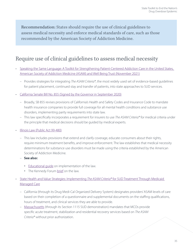Recommendation: States should require the use of clinical guidelines to assess medical necessity and enforce medical standards of care, such as those recommended by the American Society of Addiction Medicine.

### Require use of clinical guidelines to assess medical necessity

- [Speaking the Same Language: A Toolkit for Strengthening Patient-Centered Addiction Care in the United States,](https://www.asam.org/docs/default-source/quality-science/final---asam-toolkit-speaking-same-language.pdf?sfvrsn=728c5fc2_2)  [American Society of Addiction Medicine \(ASAM\) and Well Being Trust \(November 2021\)](https://www.asam.org/docs/default-source/quality-science/final---asam-toolkit-speaking-same-language.pdf?sfvrsn=728c5fc2_2)
	- Provides strategies for integrating The ASAM Criteria®, the most widely used set of evidence-based guidelines for patient placement, continued stay and transfer of patients, into state approaches to SUD services.
- [California Senate Bill No. 855 \(Signed by the Governor in September 2020\)](https://leginfo.legislature.ca.gov/faces/billTextClient.xhtml?bill_id=201920200SB855)
	- Broadly, SB 855 revises provisions of California's Health and Safety Codes and Insurance Code to mandate health insurance companies to provide full coverage for all mental health conditions and substance use disorders, implementing parity requirements into state law.
	- This law specifically incorporates a requirement for insurers to use The ASAM Criteria® for medical criteria under the principle that medical decisions should be guided by medical experts.
- [Illinois Law \(Public Act 99-480\)](https://www.ilga.gov/legislation/publicacts/99/099-0480.htm)
	- This law includes provisions that extend and clarify coverage, educate consumers about their rights, require minimum treatment benefits, and improve enforcement. The law establishes that medical necessity determinations for substance use disorders must be made using the criteria established by the American Society of Addiction Medicine.
	- **See also:**
		- Educational quide on implementation of the law.
		- The Kennedy Forum [brief](https://thekennedyforumillinois.org/wp-content/uploads/2015/12/Summary-of-HB-1-Parity-Provisions.pdf) on the law.
- [State Health and Value Strategies: Implementing](https://www.shvs.org/wp-content/uploads/2019/11/ASAM-Brief-Updated-Design-11.14.pdf) The ASAM Criteria® for SUD Treatment Through Medicaid [Managed Care](https://www.shvs.org/wp-content/uploads/2019/11/ASAM-Brief-Updated-Design-11.14.pdf)
	- – [California](https://www.medicaid.gov/Medicaid-CHIP-Program-Information/By-Topics/Waivers/1115/downloads/ca/ca-medi-cal-2020-ca.pdf) (through its Drug Medi-Cal Organized Delivery System) designates providers' ASAM levels of care based on their completion of a questionnaire and supplemental documents on the staffing qualifications, hours of treatment, and clinical services they are able to provide.
	- [Massachusetts](https://www.medicaid.gov/Medicaid-CHIP-Program-Information/By-Topics/Waivers/1115/downloads/ma/ma-masshealth-ca.pdf) (through its Section 1115 SUD demonstration) mandates that MCOs provide specific acute treatment, stabilization and residential recovery services based on The ASAM Criteria® without prior authorization.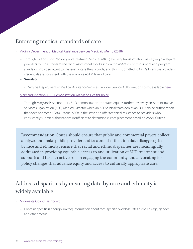### Enforcing medical standards of care

- [Virginia Department of Medical Assistance Services Medicaid Memo \(2018\)](https://www.magellanofvirginia.com/media/3226/06-14-18-arts-service-authorizations-for-asam-memo-from-dmas.pdf)
	- Through its Addiction Recovery and Treatment Services (ARTS) Delivery Transformation waiver, Virginia requires providers to use a standardized client assessment tool based on the ASAM client assessment and program standards. Providers attest to the level of care they provide, and this is submitted to MCOs to ensure providers' credentials are consistent with the available ASAM level of care.
	- **See also:**
		- Virginia Department of Medical Assistance Services' Provider Service Authorization Forms, available [here](https://www.dmas.virginia.gov/for-providers/addiction-and-recovery-treatment-services/authorization-and-registration/).
- [Maryland's Section 1115 Demonstration, Maryland HealthChoice](https://www.medicaid.gov/Medicaid-CHIP-Program-Information/By-Topics/Waivers/1115/downloads/md/md-healthchoice-ca.pdf)
	- Through Maryland's Section 1115 SUD demonstration, the state requires further review by an Administrative Services Organization (ASO) Medical Director when an ASO clinical team denies an SUD service authorization that does not meet ASAM Criteria. ASOs in the state also offer technical assistance to providers who consistently submit authorizations insufficient to determine clients' placement based on ASAM Criteria.

Recommendation: States should ensure that public and commercial payers collect, analyze, and make public provider and treatment utilization data disaggregated by race and ethnicity; ensure that racial and ethnic disparities are meaningfully addressed in providing equitable access to and utilization of SUD treatment and support; and take an active role in engaging the community and advocating for policy changes that advance equity and access to culturally appropriate care.

## Address disparities by ensuring data by race and ethnicity is widely available

- [Minnesota Opioid Dashboard](https://www.health.state.mn.us/communities/opioids/opioid-dashboard/index.html)
	- Contains specific (although limited) information about race-specific overdose rates as well as age, gender and other metrics.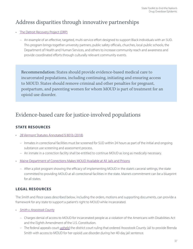## Address disparities through innovative partnerships

#### [The Detroit Recovery Project \(DRP\)](https://recovery4detroit.com/our-mission/)

 – An example of an effective, targeted, multi-service effort designed to support Black individuals with an SUD. This program brings together university partners, public safety officials, churches, local public schools, the Department of Health and Human Services, and others to increase community reach and awareness and provide coordinated efforts through culturally relevant community events.

Recommendation: States should provide evidence-based medical care to incarcerated populations, including continuing, initiating and ensuring access to MOUD. States should remove criminal and other penalties for pregnant, postpartum, and parenting women for whom MOUD is part of treatment for an opioid use disorder.

## Evidence-based care for justice-involved populations

## **STATE RESOURCES**

- [28 Vermont Statutes Annotated § 801b \(2018\)](https://legislature.vermont.gov/Documents/2018/Docs/ACTS/ACT176/ACT176%20As%20Enacted.pdf)
	- Inmates in correctional facilities must be screened for SUD within 24 hours as part of the initial and ongoing substance use screening and assessment process.
	- An inmate in a correction facility shall be entitled to continue MOUD as long as medically necessary.
- [Maine Department of Corrections Makes MOUD Available at All Jails and Prisons](https://www.maine.gov/corrections/sites/maine.gov.corrections/files/inline-files/MDOC%20MAT%20Expansion%20Statement.pdf)
	- After a pilot program showing the efficacy of implementing MOUD in the state's carceral settings, the state committed to providing MOUD at all correctional facilities in the state. Maine's commitment can be a blueprint for all states.

## **LEGAL RESOURCES**

The Smith and Pesce cases described below, including the orders, motions and supporting documents, can provide a framework for any state to support a patient's right to MOUD while incarcerated.

- [Smith v. Aroostook](https://cases.justia.com/federal/appellate-courts/ca1/19-1340/19-1340-2019-04-30.pdf?ts=1556663403) County
	- – [Charges](https://www.aclumaine.org/sites/default/files/field_documents/bsmith_motionforpi.pdf) denial of access to MOUD for incarcerated people as a violation of the Americans with Disabilities Act and the Eighth Amendment of the U.S. Constitution.
	- The federal appeals court [upheld](https://www.aclumaine.org/en/cases/smith-v-aroostook-county) the district court ruling that ordered Aroostook County Jail to provide Brenda Smith with access to MOUD for her opioid use disorder during her 40-day jail sentence.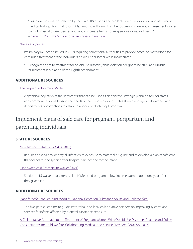- "Based on the evidence offered by the Plaintiff's experts, the available scientific evidence, and Ms. Smith's medical history, I find that forcing Ms. Smith to withdraw from her buprenorphine would cause her to suffer painful physical consequences and would increase her risk of relapse, overdose, and death." – [Order on Plaintiff's Motion for a Preliminary Injunction](https://www.aclumaine.org/sites/default/files/field_documents/smith_aroostook_order.pdf)
- [Pesce v. Coppinger](https://www.casemine.com/judgement/us/5bfe15c6c7b5c24888a6d921)
	- Preliminary injunction issued in 2018 requiring correctional authorities to provide access to methadone for continued treatment of the individual's opioid use disorder while incarcerated.
		- Recognizes right to treatment for opioid use disorder, finds violation of right to be cruel and unusual punishment in violation of the Eighth Amendment.

#### **ADDITIONAL RESOURCES**

- [The Sequential Intercept Model](https://www.prainc.com/curesact-sim/)
	- A graphical depiction of the "intercepts" that can be used as an effective strategic planning tool for states and communities in addressing the needs of the justice-involved. States should engage local wardens and departments of corrections to establish a sequential intercept program.

# Implement plans of safe care for pregnant, peripartum and parenting individuals

## **STATE RESOURCES**

- [New Mexico Statute § 32A-4-3 \(2019\)](https://law.justia.com/codes/new-mexico/2020/chapter-32a/article-4/section-32a-4-3/)
	- Requires hospitals to identify all infants with exposure to maternal drug use and to develop a plan of safe care that delineates the specific after-hospital care needed for the infant.
- [Illinois Medicaid Postpartum Waiver \(2021\)](https://www.medicaid.gov/medicaid/section-1115-demonstrations/downloads/il-continuity-care-admin-simplification-ca.pdf)
	- Section 1115 waiver that extends Illinois' Medicaid program to low-income women up to one year after they give birth.

## **ADDITIONAL RESOURCES**

- [Plans for Safe Care Learning Modules, National Center on Substance Abuse and Child Welfare](https://ncsacw.samhsa.gov/topics/plans-of-safe-care-learning-modules.aspx)
	- The five-part series aims to guide state, tribal, and local collaborative partners on improving systems and services for infants affected by prenatal substance exposure.
- [A Collaborative Approach to the Treatment of Pregnant Women With Opioid Use Disorders: Practice and Policy](https://ncsacw.samhsa.gov/files/Collaborative_Approach_508.pdf)  [Considerations for Child Welfare, Collaborating Medical, and Service Providers, SAMHSA \(2016\)](https://ncsacw.samhsa.gov/files/Collaborative_Approach_508.pdf)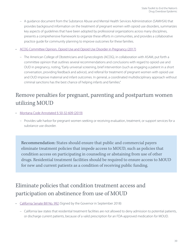- A guidance document from the Substance Abuse and Mental Health Services Administration (SAMHSA) that provides background information on the treatment of pregnant women with opioid use disorders, summarizes key aspects of guidelines that have been adopted by professional organizations across many disciplines, presents a comprehensive framework to organize these efforts in communities, and provides a collaborative practice guide for community planning to improve outcomes for these families.
- [ACOG Committee Opinion, Opioid Use and Opioid Use Disorder in Pregnancy \(2017\)](https://www.acog.org/-/media/project/acog/acogorg/clinical/files/committee-opinion/articles/2017/08/opioid-use-and-opioid-use-disorder-in-pregnancy.pdf)
	- The American College of Obstetricians and Gynecologists (ACOG), in collaboration with ASAM, put forth a committee opinion that outlines several recommendations and conclusions with regard to opioid use and OUD in pregnancy, noting, "Early universal screening, brief intervention (such as engaging a patient in a short conversation, providing feedback and advice), and referral for treatment of pregnant women with opioid use and OUD improve maternal and infant outcomes. In general, a coordinated multidisciplinary approach without criminal sanctions has the best chance of helping infants and families."

# Remove penalties for pregnant, parenting and postpartum women utilizing MOUD

- [Montana Code Annotated § 50-32-609 \(2019\)](https://leg.mt.gov/bills/mca/title_0500/chapter_0320/part_0060/section_0090/0500-0320-0060-0090.html)
	- Provides safe harbor for pregnant women seeking or receiving evaluation, treatment, or support services for a substance use disorder.

Recommendation: States should ensure that public and commercial payers eliminate treatment policies that impede access to MOUD, such as policies that condition access on participating in counseling or abstaining from use of other drugs. Residential treatment facilities should be required to ensure access to MOUD for new and current patients as a condition of receiving public funding.

# Eliminate policies that condition treatment access and participation on abstinence from use of MOUD

- [California Senate Bill No. 992](https://leginfo.legislature.ca.gov/faces/billTextClient.xhtml?bill_id=201720180SB992) (Signed by the Governor in September 2018)
	- California law states that residential treatment facilities are not allowed to deny admission to potential patients, or discharge current patients, because of a valid prescription for an FDA-approved medication for MOUD.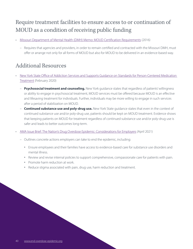# Require treatment facilities to ensure access to or continuation of MOUD as a condition of receiving public funding

- [Missouri Department of Mental Health \(DMH\) Memo: MOUD Certification Requirements](https://dmh.mo.gov/media/pdf/mat-certification-requirements) (2016)
	- Requires that agencies and providers, in order to remain certified and contracted with the Missouri DMH, must offer or arrange not only for all forms of MOUD but also for MOUD to be delivered in an evidence-based way.

## Additional Resources

- [New York State Office of Addiction Services and Supports Guidance on Standards for Person-Centered Medication](https://nysam-asam.org/wp-content/uploads/Manseau-NYSAM-2-7-20.pdf)  [Treatment](https://nysam-asam.org/wp-content/uploads/Manseau-NYSAM-2-7-20.pdf) (February 2020)
	- **Psychosocial treatment and counseling.** New York guidance states that regardless of patients' willingness or ability to engage in psychosocial treatment, MOUD services must be offered because MOUD is an effective and lifesaving treatment for individuals. Further, individuals may be more willing to engage in such services after a period of stabilization on MOUD.
	- **Continued substance use and poly-drug use.** New York State guidance states that even in the context of continued substance use and/or poly-drug use, patients should be kept on MOUD treatment. Evidence shows that keeping patients on MOUD for treatment regardless of continued substance use and/or poly-drug use is safer and leads to better outcomes long-term.
- [AMA Issue Brief: The Nation's Drug Overdose Epidemic: Considerations for Employers](https://end-overdose-epidemic.org/wp-content/uploads/2021/04/AMA-Issue-Brief-Key-Considerations-for-Employers-for-the-Nations-Drug-Overdose-Epidemic-FINAL.pdf) (April 2021)
	- Outlines concrete actions employers can take to end the epidemic, including:
		- Ensure employees and their families have access to evidence-based care for substance use disorders and mental illness.
		- Review and revise internal policies to support comprehensive, compassionate care for patients with pain.
		- Promote harm reduction at work.
		- Reduce stigma associated with pain, drug use, harm reduction and treatment.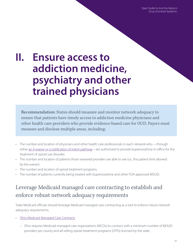State Toolkit to End the Nation's Drug Overdose Epidemic

# **II. Ensure access to addiction medicine, psychiatry and other trained physicians**

Recommendation: States should measure and monitor network adequacy to ensure that patients have timely access to addiction medicine physicians and other health care providers who provide evidence-based care for OUD. Payers must measure and disclose multiple areas, including:

- The number and location of physicians and other health care professionals in each network who —through either [an X-waiver or a notification of intent pathway](https://www.samhsa.gov/medication-assisted-treatment/become-buprenorphine-waivered-practitioner)—are authorized to provide buprenorphine in-office for the treatment of opioid use disorder.
- The number and location of patients those waivered providers are able to see (i.e., the patient limit allowed by the waiver).
- The number and location of opioid treatment programs.
- The number of patients currently being treated with buprenorphine and other FDA-approved MOUD.

# Leverage Medicaid managed care contracting to establish and enforce robust network adequacy requirements

State Medicaid officials should leverage Medicaid managed care contracting as a tool to enforce robust network adequacy requirements.

- [Ohio Medicaid Managed Care Contracts](https://medicaid.ohio.gov/static/Providers/ProviderTypes/Managed+Care/Provider+Agreements/2021_08_MMC.pdf)
	- Ohio requires Medicaid managed care organizations (MCOs) to contract with a minimum number of MOUD providers per county and all willing opioid treatment programs (OTPs) licensed by the state.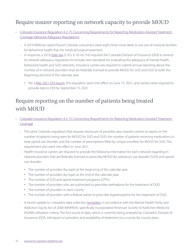## Require insurer reporting on network capacity to provide MOUD

- [Colorado Insurance Regulation 4-2-75 Concerning Requirements for Reporting Medication-Assisted Treatment](https://casetext.com/regulation/colorado-administrative-code/department-700-department-of-regulatory-agencies/division-702-division-of-insurance/rule-3-ccr-702-4-life-accident-and-health/section-3-ccr-702-4-2-life-accident-and-health-series-4-2/regulation-3-ccr-702-4-2-75-concerning-requirements-for-reporting-medication-assisted-treatment-coverage/attachment-3-ccr-702-4-2-75-a-medication-assisted-treatment-mat-reporting-requirements)  [Coverage \(Network Adequacy Regulations\)](https://casetext.com/regulation/colorado-administrative-code/department-700-department-of-regulatory-agencies/division-702-division-of-insurance/rule-3-ccr-702-4-life-accident-and-health/section-3-ccr-702-4-2-life-accident-and-health-series-4-2/regulation-3-ccr-702-4-2-75-concerning-requirements-for-reporting-medication-assisted-treatment-coverage/attachment-3-ccr-702-4-2-75-a-medication-assisted-treatment-mat-reporting-requirements)
	- A 2019 Milliman report found Colorado consumers were eight times more likely to use out-of-network facilities for behavioral health than for medical/surgical treatment.
	- In response, a 2019 [state law](https://casetext.com/statute/colorado-revised-statutes/title-10-insurance/health-care-coverage/article-16-health-care-coverage/part-7-consumer-protection-standards-act-for-the-operation-of-managed-care-plans/section-10-16-710-reporting-to-commissioner-medication-assisted-treatment-rules) (C.R.S. § 10-16-710) required the Colorado Division of Insurance (DOI) to amend its network adequacy regulations to include new standards for evaluating the adequacy of mental health, behavioral health and SUD networks. Insurance carriers are required to submit annual reporting about the number of in-network providers that are federally licensed to provide MOUD for SUD and OUD at both the beginning and end of the calendar year.
		- Per a [May 2021 DOI report,](https://drive.google.com/file/d/1AzdBuRPFOY4VwzZrKGURO8jjEj4eHiLK/view) this regulation went into effect on June 15, 2021, and carriers were required to provide data to DOI by September 15, 2021.

# Require reporting on the number of patients being treated with MOUD

- [Colorado Insurance Regulation 4-2-75 Concerning Requirements for Reporting Medication-Assisted Treatment](https://casetext.com/regulation/colorado-administrative-code/department-700-department-of-regulatory-agencies/division-702-division-of-insurance/rule-3-ccr-702-4-life-accident-and-health/section-3-ccr-702-4-2-life-accident-and-health-series-4-2/regulation-3-ccr-702-4-2-75-concerning-requirements-for-reporting-medication-assisted-treatment-coverage/attachment-3-ccr-702-4-2-75-a-medication-assisted-treatment-mat-reporting-requirements)  [Coverage](https://casetext.com/regulation/colorado-administrative-code/department-700-department-of-regulatory-agencies/division-702-division-of-insurance/rule-3-ccr-702-4-life-accident-and-health/section-3-ccr-702-4-2-life-accident-and-health-series-4-2/regulation-3-ccr-702-4-2-75-concerning-requirements-for-reporting-medication-assisted-treatment-coverage/attachment-3-ccr-702-4-2-75-a-medication-assisted-treatment-mat-reporting-requirements)
	- The same Colorado regulation that requires disclosure of providers also requires carriers to report on the number of patients being seen for MOUD for SUD and OUD, the number of patients receiving medications to treat opioid use disorder, and the number of prescriptions filled by unique enrollees for MOUD for SUD. This requirement also went into effect in June 2021.
	- Health insurance carriers are required to provide the following information for each network regarding innetwork providers that are federally licensed to prescribe MOUD for substance use disorder (SUD) and opioid use disorder:
		- The number of providers (by type) at the beginning of the calendar year.
		- The number of providers (by type) at the end of the calendar year.
		- The number of SUD and opioid treatment programs (OTPs).
		- The number of providers who are authorized to prescribe methadone for the treatment of OUD.
		- The number of providers in each county.
		- The number of providers with a federal waiver to prescribe buprenorphine for the treatment of OUD.
	- A recent update to Colorado's data collection [templates](https://drive.google.com/drive/folders/1t7kpPbt1Nxc7zuYoxz2dYHE9EfeAnQna), in accordance with the Mental Health Parity and Addiction Equity Act of 2008 (MHPAEA), specifically incorporated American Society of Addiction Medicine (ASAM) utilization criteria. The first round of data, which is currently being analyzed by Colorado's Division of Insurance (DOI), will report on providers and availability of treatment on a county-by-county basis.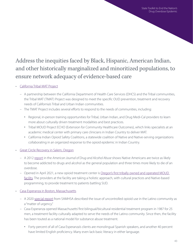# Address the inequities faced by Black, Hispanic, American Indian, and other historically marginalized and minoritized populations, to ensure network adequacy of evidence-based care

#### • [California Tribal MAT Project](https://www.californiamat.org/matproject/tribal-mat-program/)

- A partnership between the California Department of Health Care Services (DHCS) and the Tribal communities, the Tribal MAT (TMAT) Project was designed to meet the specific OUD prevention, treatment and recovery needs of California's Tribal and Urban Indian communities.
- The TMAT Project includes several efforts to respond to the needs of communities, including:
	- Regional, in-person training opportunities for Tribal, Urban Indian, and Drug Medi-Cal providers to learn more about culturally driven treatment modalities and best practices.
	- Tribal MOUD Project ECHO (Extension for Community Healthcare Outcomes), which links specialists at an academic medical center with primary care clinicians in Indian Country to deliver MAT.
	- California Indian Opioid Safety Coalitions, a statewide coalition of Native and Native-serving organizations collaborating in an organized response to the opioid epidemic in Indian Country.
- [Great Circle Recovery in Salem, Oregon](https://www.greatcirclerecovery.org/)
	- A 2012 [report](https://www.tandfonline.com/doi/abs/10.3109/00952990.2012.694527?journalCode=iada20&) in the American Journal of Drug and Alcohol Abuse shows Native Americans are twice as likely to become addicted to drugs and alcohol as the general population and three times more likely to die of an overdose.
	- Opened in April 2021, a new opioid treatment center is [Oregon's first tribally owned and operated MOUD](https://katu.com/news/recover-northwest/new-clinic-is-first-tribally-owned-operated-opioid-treatment-center-in-oregon-staff-says)  [facility](https://katu.com/news/recover-northwest/new-clinic-is-first-tribally-owned-operated-opioid-treatment-center-in-oregon-staff-says). The providers at the facility are taking a holistic approach, with cultural practices and Native-based programming, to provide treatment to patients battling SUD.
- [Casa Esperanza in Boston, Massachusetts](https://www.casaesperanza.org/es/)
	- A 2020 [special report](https://store.samhsa.gov/product/The-Opioid-Crisis-and-the-Hispanic-Latino-Population-An-Urgent-Issue/PEP20-05-02-002) from SAMHSA described the issue of uncontrolled opioid use in the Latino community as a "matter of urgency."
	- Casa Esperanza opened Massachusetts' first bilingual/bicultural residential treatment program in 1987 for 25 men, a treatment facility culturally adapted to serve the needs of the Latino community. Since then, the facility has been touted as a national model for substance abuse treatment.
		- Forty percent of all of Casa Esperanza's clients are monolingual Spanish speakers, and another 40 percent have limited English proficiency. Many even lack basic literacy in either language.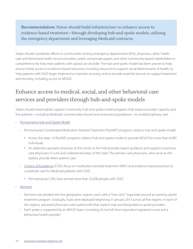Recommendation: States should build infrastructure to enhance access to evidence-based treatment—through developing hub-and-spoke models, utilizing the emergency department and leveraging Medicaid contracts.

States should coordinate efforts in communities among emergency departments (EDs), physicians, other health care and behavioral health service providers, public and private payers, and other community-based stakeholders to comprehensively help treat patients with opioid use disorder. The hub-and-spoke model has been proven to help ensure timely access to evidence-based resources, including resources to support social determinants of health, to help patients with OUD begin treatment or maintain recovery, and to provide essential services to support treatment and recovery, including access to MOUD.

# Enhance access to medical, social, and other behavioral care services and providers through hub-and-spoke models

States should meaningfully support community hub-and-spoke model programs that expand provider capacity and link patients—including Medicaid, commercially insured and uninsured populations—to multidisciplinary care.

- [Pennsylvania Hub-and-Spoke Model](https://www.pahouse.com/files/Documents/2018-10-19_021236__PA%20Response%20to%20the%20Opioid%20Epidemic_updates.pdf)
	- – [Pennsylvania's Coordinated Medication Assisted Treatment \(PacMAT\) programs](https://www.governor.pa.gov/newsroom/wolf-administration-awards-3-million-grants-medication-assisted-treatment-programs/) utilize a hub-and-spoke model.
		- Across the state, 14 PacMAT programs utilize a hub-and-spoke model to provide MOUD for more than 6,000 individuals.
		- An addiction specialist physician at the center as the hub provides expert guidance and support to primary care physicians in rural and underserved areas of the state. The primary care physicians, who serve as the spokes, provide direct patient care.
	- [Centers of Excellence](https://www.governor.pa.gov/wp-content/uploads/2020/07/OCCStrategicPlan.pdf) (COEs) focus on medication-assisted treatment (MAT) and evidence-based practices to coordinate care for Medicaid patients with OUD.
		- Pennsylvania's COEs have served more than 32,000 people with OUD.
- **[Vermont](https://www.ncbi.nlm.nih.gov/pmc/articles/PMC5537005/)** 
	- Vermont was divided into five geographic regions, each with a "hub clinic" organized around an existing opioid treatment program. Gradually, hubs were deployed beginning in January 2013 across all five regions. In each of the regions, waivered physicians were paired with that region's hub and designated as spoke providers.
	- Each spoke is supported by an MOUD team consisting of one full-time-equivalent registered nurse and a behavioral health provider.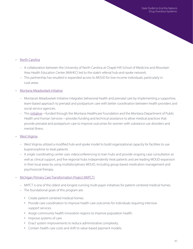#### • [North Carolina](https://www.northcarolinahealthnews.org/2020/04/09/opioid-addiction-hub-and-spoke/)

- A collaboration between the University of North Carolina at Chapel Hill School of Medicine and Mountain Area Health Education Center (MAHEC) led to the state's referral hub-and-spoke network.
- This partnership has resulted in expanded access to MOUD for low-income individuals, particularly in rural areas.
- [Montana Meadowlark Initiative](https://mthcf.org/priority/behavioral-health/the-meadowlark-initiative/)
	- Montana's Meadowlark Initiative integrates behavioral health and prenatal care by implementing a supportive, team-based approach to prenatal and postpartum care with better coordination between health providers and social service agencies.
	- This [initiative—](https://mthcf.org/wp-content/uploads/Meadowlark-One-pager_3.30.21-UPDATE-1.pdf)funded through the Montana Healthcare Foundation and the Montana Department of Public Health and Human Services—provides funding and technical assistance to allow medical practices that provide prenatal and postpartum care to improve outcomes for women with substance use disorders and mental illness.
- **[West Virginia](https://nasadad.org/wp-content/uploads/2019/09/FINAL-WV-Profile.pdf)** 
	- West Virginia utilized a modified hub-and-spoke model to build organizational capacity for facilities to use buprenorphine to treat patients.
	- A single coordinating center uses videoconferencing to train hubs and provide ongoing case consultation as well as clinical support, and five regional hubs independently treat patients and are leading MOUD expansion in their local areas by using multidisciplinary MOUD, including group-based medication management and psychosocial therapy.

#### • [Michigan Primary Care Transformation Project \(MiPCT\)](https://www.pcpcc.org/initiatives/michigan)

- MiPCT is one of the oldest and longest-running multi-payer initiatives for patient-centered medical homes.
- The foundational goals of this program are:
	- Create patient-centered medical homes.
	- Provide care coordination to improve health care outcomes for individuals requiring intensive support services.
	- Assign community health innovation regions to improve population health.
	- Improve systems of care.
	- Enact system improvements to reduce administrative complexity.
	- Contain health care costs and shift to value-based payment models.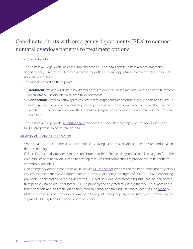# Coordinate efforts with emergency departments (EDs) to connect nonfatal overdose patients to treatment options

#### • [California Bridge Model](https://cabridge.org/resource/blueprint-for-hospital-opioid-use-disorder-treatment/)

- The California Bridge Model has been implemented at 52 hospitals across California. Since emergency departments (EDs) provide 24/7 access to care, they offer a unique opportunity to make treatment for SUD universally accessible.
- The model is based on three pillars:
	- **Treatment:** Provide quick-start, low-barrier access to evidence-based medication for addiction treatment for substance use disorder in all hospital departments.
	- **Connection:** Establish pathways to link patients to outpatient care through active support and follow-up.
	- **Culture:** Create a welcoming, non-stigmatizing hospital culture for people who use drugs that is reflected in patient-facing communications throughout the hospital and an emphasis on human connections that build trust.
- The California Bridge Model [blueprint paper](https://cabridge.org/resource/blueprint-for-hospital-opioid-use-disorder-treatment/) provides a 31-page step-by-step guide on how to set up an MOUD program in an acute care hospital.
- [University of Colorado Health System](https://pubmed.ncbi.nlm.nih.gov/31959523/)
	- When a patient arrives at the ED and is identified as having OUD, a social worker intervenes to conduct an indepth screening.
	- If clinically indicated, providers can prescribe buprenorphine. The health system also utilized a grant from the Colorado Office of Behavioral Health to develop resources and connections to provide "warm handoffs" to community providers.
	- One emergency department physician in Denver, [Dr. Don Stader](https://end-overdose-epidemic.org/stories/ending-the-stigma-of-opioid-use-disorder-in-the-emergency-department/), emphasized the importance not only of this work to connect patients with appropriate care, but also of ending the stigma of OUD in EDs and enhancing physician understanding of those living with OUD: "Not only was I overprescribing, but I had no idea how to treat people with opioid use disorders. OUD is probably the only medical disease that you learn more about from the media and bias than you do from medical school and training." Dr. Stader is featured in a [video](https://www.acep.org/by-medical-focus/mental-health-and-substanc-use-disorders/stigma/) by AMA's Opioid Response Network and American College of Emergency Physicians (ACEP) about "reducing the stigma of OUD" by highlighting patient experiences.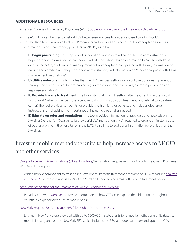### **ADDITIONAL RESOURCES**

- American College of Emergency Physicians (ACEP) [Buprenorphine Use in the Emergency Department Tool](https://www.acep.org/patient-care/bupe/)
	- The ACEP tool can be used to help all EDs better ensure access to evidence-based care for MOUD.
	- This bedside tool is available to all ACEP members and includes an overview of buprenorphine as well as information on how emergency providers can "BUPE," as follows:
		- **B) Begin prescribing:** This step provides indications and contraindications for the administration of buprenorphine; information on procedure and administration; dosing information for "acute withdrawal or initiating MAT"; guidelines for management of buprenorphine-precipitated withdrawal; information on nausea and vomiting after buprenorphine administration; and information on "other appropriate withdrawal management medications."
		- **U) Utilize naloxone:** This tool notes that the ED "is an ideal setting for opioid overdose death prevention through the distribution of (or prescribing of ) overdose naloxone rescue kits, overdose prevention and response education."
		- **P) Provide linkage to treatment:** The tool notes that in an ED setting after treatment of acute opioid withdrawal, "patients may be more receptive to discussing addiction treatment, and referral to a treatment center." The tool provides key points for providers to highlight for patients and includes discharge instructions, emphasizing the importance of including a referral as needed.
		- **E) Educate on rules and regulations:** The tool provides information for providers and hospitals on the X-waiver (i.e., that "an X-waiver to [a provider's] DEA registration is NOT required to order/administer a dose of buprenorphine in the hospital, or in the ED"). It also links to additional information for providers on the X-waiver.

# Invest in mobile methadone units to help increase access to MOUD and other services

- [Drug Enforcement Administration's \(DEA's\) Final Rule](https://www.federalregister.gov/documents/2021/06/28/2021-13519/registration-requirements-for-narcotic-treatment-programs-with-mobile-components), "Registration Requirements for Narcotic Treatment Programs With Mobile Components"
	- Adds a mobile component to existing registrations for narcotic treatment programs per DEA measures [finalized](https://www.dea.gov/press-releases/2021/06/28/dea-finalizes-measures-expand-medication-assisted-treatment) [in June 2021](https://www.dea.gov/press-releases/2021/06/28/dea-finalizes-measures-expand-medication-assisted-treatment) to improve access to MOUD in "rural and underserved areas with limited treatment options."
- [American Association for the Treatment of Opioid Dependence Webinar](http://www.aatod.org/opioid-education/elearning/how-to-webinar-expanding-the-use-of-mobile-vans/)
	- Provides a "how to" [webinar](http://www.aatod.org/opioid-education/elearning/how-to-webinar-expanding-the-use-of-mobile-vans/) to provide information on how OTPs "can expand their blueprint throughout the country by expanding the use of mobile vans."
- [New York Request For Application \(RFA\) for Mobile Methadone Units](https://oasas.ny.gov/mobile-unit-rfa)
	- Entities in New York were provided with up to \$200,000 in state grants for a mobile methadone unit. States can model similar grants on the New York RFA, which includes the RFA, a budget summary and applicant Q/A.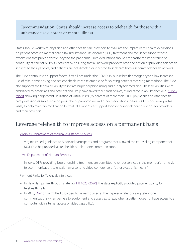Recommendation: States should increase access to telehealth for those with a substance use disorder or mental illness.

States should work with physician and other health care providers to evaluate the impact of telehealth expansions on patient access to mental health (MH)/substance use disorder (SUD) treatment and to further support those expansions that prove effective beyond the pandemic. Such evaluations should emphasize the importance of continuity of care for MH/SUD patients by ensuring that all network providers have the option of providing telehealth services to their patients, and patients are not directed or incented to seek care from a separate telehealth network.

The AMA continues to support federal flexibilities under the COVID-19 public health emergency to allow increased use of take-home dosing and patient check-ins via telemedicine for existing patients receiving methadone. The AMA also supports the federal flexibility to initiate buprenorphine using audio-only telemedicine. These flexibilities were embraced by physicians and patients and likely have saved thousands of lives, as indicated in an October 2020 [survey](https://www.aaap.org/wp-content/uploads/2020/10/COVID-29-Survey-Results-First-Glance_EW-10.15.pdf) [report](https://www.aaap.org/wp-content/uploads/2020/10/COVID-29-Survey-Results-First-Glance_EW-10.15.pdf) showing a significant utilization of virtual visits (75 percent of more than 1,000 physicians and other health care professionals surveyed who prescribe buprenorphine and other medications to treat OUD report using virtual visits) to help maintain medication to treat OUD and "clear support for continuing telehealth options for providers and their patients."

## Leverage telehealth to improve access on a permanent basis

- [Virginia's Department of Medical Assistance Services](https://cdn.cchpca.org/files/2020-03/VIRGINIA%20MSR%202020-077-001-W%20Attachment%20COVID%2019%20MEMO%20V1.0%20dtd%20031920_0.pdf)
	- Virginia issued guidance to Medicaid participants and programs that allowed the counseling component of MOUD to be provided via telehealth or telephone communication.
- [Iowa Department of Human Services](https://dhs.iowa.gov/sites/default/files/DHS_COVID19_MedicaidProviderToolkit.pdf?%20040320201225)
	- In Iowa, OTPs providing buprenorphine treatment are permitted to render services in the member's home via telecommunication, telehealth, smartphone video conference or "other electronic means."
- Payment Parity for Telehealth Services
	- In New Hampshire, through state law [HB 1623](https://legiscan.com/NH/text/HB1623/id/2189512/New_Hampshire-2020-HB1623-Amended.html) (2020), the state explicitly provided payment parity for telehealth visits.
	- In 2020, [Oregon](https://www.oregon.gov/oha/HSD/OHP/Announcements/Telemedicine-telehealth%20billing%20guidance%20for%20Oregon%20Health%20Plan%20fee-for-service%20providers.pdf) permitted providers to be reimbursed at the in-person rate for using telephone communications when barriers to equipment and access exist (e.g., when a patient does not have access to a computer with internet access or video capability).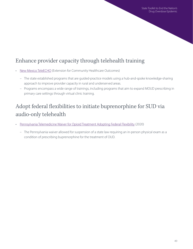# Enhance provider capacity through telehealth training

- [New Mexico TeleECHO](https://hsc.unm.edu/echo/partner-portal/) (Extension for Community Healthcare Outcomes)
	- The state established programs that are guided-practice models using a hub-and-spoke knowledge-sharing approach to improve provider capacity in rural and underserved areas.
	- Programs encompass a wide range of trainings, including programs that aim to expand MOUD prescribing in primary care settings through virtual clinic training.

# Adopt federal flexibilities to initiate buprenorphine for SUD via audio-only telehealth

- [Pennsylvania Telemedicine Waiver for Opioid Treatment Adopting Federal Flexibility](https://www.dos.pa.gov/Documents/2020-09-04-Telemedicine-Waiver-for-Opioid-Treatment.pdf) (2020)
	- The Pennsylvania waiver allowed for suspension of a state law requiring an in-person physical exam as a condition of prescribing buprenorphine for the treatment of OUD.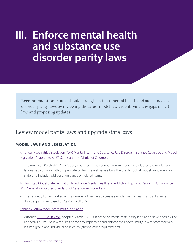# **III. Enforce mental health and substance use disorder parity laws**

Recommendation: States should strengthen their mental health and substance use disorder parity laws by reviewing the latest model laws, identifying any gaps in state law, and proposing updates.

## Review model parity laws and upgrade state laws

## **MODEL LAWS AND LEGISLATION**

- [American Psychiatric Association \(APA\) Mental Health and Substance Use Disorder Insurance Coverage and Model](https://www.psychiatry.org/psychiatrists/advocacy/state-affairs/model-parity-legislation)  [Legislation Adapted to All 50 States and the District of Columbia](https://www.psychiatry.org/psychiatrists/advocacy/state-affairs/model-parity-legislation)
	- The American Psychiatric Association, a partner in The Kennedy Forum model law, adapted the model law language to comply with unique state codes. The webpage allows the user to look at model language in each state, and includes additional guidance on related items.
- [Jim Ramstad Model State Legislation to Advance Mental Health and Addiction Equity by Requiring Compliance](https://www.thekennedyforum.org/app/uploads/2021/05/Ramstad-Model-Legislation-May-2021.pdf)  [With Generally Accepted Standards of Care Forum Model Law](https://www.thekennedyforum.org/app/uploads/2021/05/Ramstad-Model-Legislation-May-2021.pdf)
	- The Kennedy Forum worked with a number of partners to create a model mental health and substance disorder parity law based on California SB 855.
- [Kennedy Forum Model State Parity Legislation](https://pjk-wp-uploads.s3.amazonaws.com/www.paritytrack.org/uploads/2018/08/2018-State-Model-Parity-Legislation1.pdf)
	- Arizona's [SB 1523/HB 2761,](https://www.azleg.gov/legtext/54leg/2R/laws/0004.htm) adopted March 3, 2020, is based on model state parity legislation developed by The Kennedy Forum. The law requires Arizona to implement and enforce the Federal Parity Law for commercially insured group and individual policies, by (among other requirements):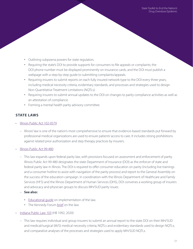- Outlining subpoena powers for state regulators.
- Requiring the state's DOI to provide supports for consumers to file appeals or complaints; the DOI phone number must be displayed prominently on insurance cards, and the DOI must publish a webpage with a step-by-step guide to submitting complaints/appeals.
- Requiring insurers to submit reports on each fully insured network type to the DOI every three years, including medical necessity criteria, evidentiary standards, and processes and strategies used to design Non-Quantitative Treatment Limitations (NQTLs).
- Requiring insurers to submit annual updates to the DOI on changes to parity compliance activities as well as an attestation of compliance.
- Forming a mental health parity advisory committee.

## **STATE LAWS**

- [Illinois Public Act 102-0579](https://ilga.gov/legislation/publicacts/102/PDF/102-0579.pdf)
	- Illinois' law is one of the nation's most comprehensive to ensure that evidence-based standards put forward by professional medical organizations are used to ensure patients' access to care. It includes strong prohibitions against related prior authorization and step therapy practices by insurers.
- [Illinois Public Act 99-480](https://www.ilga.gov/legislation/publicacts/99/099-0480.htm)
	- This law expands upon federal parity law, with provisions focused on assessment and enforcement of parity. Illinois Public Act 99-480 designates the state Department of Insurance (DOI) as the enforcer of state and federal parity law in Illinois. The DOI is required to offer consumer education on parity (including live trainings and a consumer hotline to assist with navigation of the parity process) and report to the General Assembly on the success of the education campaign. In coordination with the Illinois Department of Healthcare and Family Services (HFS) and the Illinois Department of Human Services (DHS), DOI convenes a working group of insurers and advocacy and physician groups to discuss MH/SUD parity issues.
	- **See also:**
		- [Educational guide](https://thekennedyforumillinois.org/wp-content/uploads/2015/12/HB1-Public-Act-99-480-Action-Plan-10-09-15-RMP-Final.pdf) on implementation of the law.
		- The Kennedy Forum [brief](https://thekennedyforumillinois.org/wp-content/uploads/2015/12/Summary-of-HB-1-Parity-Provisions.pdf) on the law.
- [Indiana Public Law 103](https://legiscan.com/IN/text/HB1092/id/2167942/Indiana-2020-HB1092-Enrolled.pdf) (HB 1092, 2020)
	- This law requires individual and group insurers to submit an annual report to the state DOI on their MH/SUD and medical/surgical (M/S) medical necessity criteria; NQTLs and evidentiary standards used to design NQTLs; and comparative analyses of the processes and strategies used to apply MH/SUD NQTLs.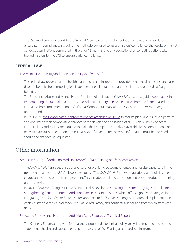– The DOI must submit a report to the General Assembly on its implementation of rules and procedures to ensure parity compliance, including the methodology used to assess insurers' compliance, the results of market conduct examinations completed in the prior 12 months, and any educational or corrective actions taken toward insurers by the DOI to ensure parity compliance.

#### **FEDERAL LAW**

- [The Mental Health Parity and Addiction Equity Act \(MHPAEA\)](https://www.cms.gov/CCIIO/Programs-and-Initiatives/Other-Insurance-Protections/mhpaea_factsheet)
	- This federal law prevents group health plans and health insurers that provide mental health or substance use disorder benefits from imposing less favorable benefit limitations than those imposed on medical/surgical benefits.
	- The Substance Abuse and Mental Health Services Administration (SAMHSA) created a quide, Approaches in [Implementing the Mental Health Parity and Addiction Equity Act: Best Practices from the States,](https://store.samhsa.gov/sites/default/files/d7/priv/sma16-4983.pdf) based on interviews from implementation in California, Connecticut, Maryland, Massachusetts, New York, Oregon and Rhode Island.
	- In April 2021, [the Consolidated Appropriations Act amended MHPAEA](https://www.dol.gov/sites/dolgov/files/EBSA/about-ebsa/our-activities/resource-center/faqs/aca-part-45.pdf) to require plans and issuers to perform and document their comparative analyses of the design and application of NQTLs on MH/SUD benefits. Further, plans and issuers are required to make their comparative analyses available to the departments or relevant state authorities, upon request, with specific parameters on what information must be provided should the analyses be requested.

# Other information

- [American Society of Addiction Medicine \(ASAM\) State Training on](https://www.asam.org/asam-criteria/state-implementation) The ASAM Criteria®
	- The ASAM Criteria® are a set of national criteria for providing outcome-oriented and results-based care in the treatment of addiction. ASAM allows states to use The ASAM Criteria® in laws, regulations, and policies free of charge and with no permission agreement. This includes providing education and basic introductory training on the criteria.
	- In 2021, ASAM, Well Being Trust and Manatt Health developed [Speaking the Same Language: A Toolkit for](https://www.asam.org/docs/default-source/quality-science/final---asam-toolkit-speaking-same-language.pdf?sfvrsn=728c5fc2_2)  [Strengthening Patient-Centered Addiction Care in the United States,](https://www.asam.org/docs/default-source/quality-science/final---asam-toolkit-speaking-same-language.pdf?sfvrsn=728c5fc2_2) which offers high-level strategies for integrating The ASAM Criteria® into a state's approach to SUD services, along with potential implementation vehicles, state examples, and model legislative, regulatory, and contractual language from which states can draw.
- [Evaluating State Mental Health and Addiction Parity Statutes: A Technical Report](https://wellbeingtrust.org/wp-content/uploads/2019/06/evaluating-state-mental-health-report-wbt-for-web.pdf)
	- The Kennedy Forum, along with four partners, published a technical policy analysis comparing and scoring state mental health and substance use parity laws (as of 2018) using a standardized instrument.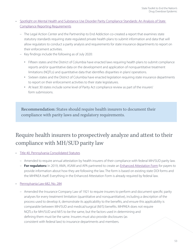- [Spotlight on Mental Health and Substance Use Disorder Parity Compliance Standards: An Analysis of State](https://www.lac.org/assets/files/Spotligth-on-Mental-Health-and-Substance-Use-Disorder-Parity-Compliance-Standards.pdf)  [Compliance Reporting Requirements](https://www.lac.org/assets/files/Spotligth-on-Mental-Health-and-Substance-Use-Disorder-Parity-Compliance-Standards.pdf)
	- The Legal Action Center and the Partnership to End Addiction co-created a report that examines state statutory standards requiring state-regulated private health plans to submit information and data that will allow regulators to conduct a parity analysis and requirements for state insurance departments to report on their enforcement activities.
	- Key findings include the following as of July 2020:
		- Fifteen states and the District of Columbia have enacted laws requiring health plans to submit compliance reports and/or quantitative data on the development and application of nonquantitative treatment limitations (NQTLs) and quantitative data that identifies disparities in plans' operations.
		- Sixteen states and the District of Columbia have enacted legislation requiring state insurance departments to report on their enforcement activities to their state legislatures.
		- At least 30 states include some level of Parity Act compliance review as part of the insurers' form submissions.

Recommendation: States should require health insurers to document their compliance with parity laws and regulatory requirements.

# Require health insurers to prospectively analyze and attest to their compliance with MH/SUD parity law

- [Title 40, Pennsylvania Consolidated Statutes](https://www.legis.state.pa.us/cfdocs/Legis/LI/uconsCheck.cfm?txtType=HTM&yr=2020&sessInd=0&smthLwInd=0&act=89)
	- Amended to require annual attestation by health insurers of their compliance with federal MH/SUD parity law.
	- **For regulators:** In 2019, AMA, ASAM and APA partnered to create an [Enhanced Attestation Form](https://end-overdose-epidemic.org/wp-content/uploads/2020/05/4-Enhanced-Attestation-APA-AMA-ASAM-Dec-2019.pdf) for payers to provide information about how they are following the law. The form is based on existing state DOI forms and the MHPAEA itself. Everything in the Enhanced Attestation Form is already required by federal law.
- [Pennsylvania Law 682, No. 284](https://www.legis.state.pa.us/cfdocs/legis/li/uconsCheck.cfm?yr=2020&sessInd=0&act=92)
	- Amended the Insurance Company Law of 1921 to require insurers to perform and document specific parity analyses for every treatment limitation (quantitative and nonquantitative), including a description of the process used to develop it, demonstrate its applicability to the benefits, and ensure this applicability is comparable between MH/SUD and medical/surgical (M/S) benefits. MHPAEA does not require NQTLs for MH/SUD and M/S to be the same, but the factors used in determining and defining them must be the same. Insurers must also provide disclosures (as consistent with federal law) to insurance departments and members.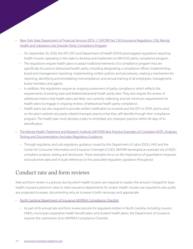#### • [New York State Department of Financial Services \(DFS\) 11 NYCRR Part 230 \(Insurance Regulation 218\): Mental](https://www.dfs.ny.gov/system/files/documents/2020/10/rf218_11nycrr230_text.pdf)  [Health and Substance Use Disorder Parity Compliance Program](https://www.dfs.ny.gov/system/files/documents/2020/10/rf218_11nycrr230_text.pdf)

- On September 30, 2020, the NYS DFS and Department of Health (DOH) promulgated regulations requiring health insurers operating in the state to develop and implement an MH/SUD parity compliance program.
- The regulations require health plans to adopt traditional elements of a compliance program that are specifically focused on behavioral health parity, including designating a compliance officer; implementing board and management reporting; implementing written policies and procedures; creating a mechanism for reporting, identifying and remediating noncompliance; and annual training of all employees, management, board members and agents.
- In addition, the regulations require an ongoing assessment of parity compliance, which reflects the requirements of existing state and federal behavioral health parity laws. They also require the review of additional metrics that health plans are likely not currently collecting, and set minimum requirements for health plans to engage in ongoing reviews of behavioral health parity compliance.
- Health plans are also required to provide written notification to insureds and the DFS or DOH, and to post on the plan's website any parity-related improper practice that they self-identify through their compliance program. The health plan must develop a plan to remediate any improper practice within 60 days of its identification.
- [The Mental Health Treatment and Research Institute \(MHTARI\) Best Practice Examples of Compliant NQTL Analyses](https://www.mhtari.org/Best_Practice_Examples_NQTL_Compliance.pdf)  [Testing and Documentation \(Includes Regulatory Guidance\)](https://www.mhtari.org/Best_Practice_Examples_NQTL_Compliance.pdf)
	- Through regulatory and sub-regulatory guidance issued by the Department of Labor (DOL), HHS and the Center for Consumer Information and Insurance Oversight (CCIIO), MHTARI developed an example set of NQTLcompliant analyses, testing and disclosures. These examples focus on the importance of quantitative measures and outcomes data and include references to the associated regulatory guidance throughout.

## Conduct rate and form reviews

Rate and form review is a process during which health insurers are required to explain the amount charged for base health insurance premium rates to state insurance departments for review. Health insurers are required to also justify any proposed increases, documenting why an increase is both necessary and appropriate.

- [North Carolina Department of Insurance MHPAEA Compliance Checklist](https://www.ncdoi.gov/media/2081/open)
	- As part of its annual rate and form review process for regulated entities in North Carolina, including insurers, HMOs, municipal cooperative health benefit plans and student health plans, the Department of Insurance requires the submission of an MHPAEA Compliance Checklist.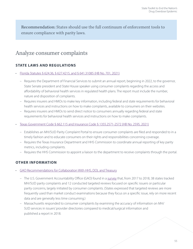Recommendation: States should use the full continuum of enforcement tools to ensure compliance with parity laws.

## Analyze consumer complaints

### **STATE LAWS AND REGULATIONS**

• [Florida Statutes § 624.36, § 627.4215, and § 641.31085 \(HB No. 701, 2021\)](http://laws.flrules.org/2021/146)

- Requires the Department of Financial Services to submit an annual report, beginning in 2022, to the governor, State Senate president and State House speaker using consumer complaints regarding the access and affordability of behavioral health services in regulated health plans. The report must include the number, nature and disposition of complaints.
- Requires insurers and HMOs to make key information, including federal and state requirements for behavioral health services and instructions on how to make complaints, available to consumers on their websites.
- Requires insurers and HMOs to send direct notice to consumers annually regarding federal and state requirements for behavioral health services and instructions on how to make complaints.
- [Texas Government Code § 662.115 and Insurance Code § 1355.2571-2572 \(HB No. 2595, 2021\)](https://legiscan.com/TX/text/HB2595/id/2407800/Texas-2021-HB2595-Enrolled.html)
	- Establishes an MH/SUD Parity Complaint Portal to ensure consumer complaints are filed and responded to in a timely fashion and to educate consumers on their rights and responsibilities concerning coverage.
	- Requires the Texas Insurance Department and HHS Commission to coordinate annual reporting of key parity metrics, including complaints.
	- Requires the HHS Commission to appoint a liaison to the department to receive complaints through the portal.

## **OTHER INFORMATION**

- [GAO Recommendations for Collaboration With HHS, DOL and Treasury](https://www.gao.gov/assets/gao-20-150.pdf)
	- The U.S. Government Accountability Office (GAO) found in a [survey](https://www.gao.gov/assets/gao-20-150.pdf) that, from 2017 to 2018, 38 states tracked MH/SUD parity complaints and 12 conducted targeted reviews focused on specific issuers or particular parity concerns, largely initiated by consumer complaints. (States expressed that targeted reviews are more frequently used than market conduct examinations because they focus on a specific issue, rely on more recent data and are generally less time consuming.)
	- Massachusetts responded to consumer complaints by examining the accuracy of information on MH/ SUD services in issuers' provider directories compared to medical/surgical information and published a report in 2018.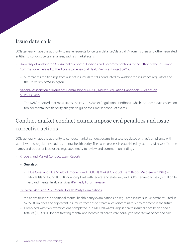## Issue data calls

DOIs generally have the authority to make requests for certain data (i.e., "data calls") from insurers and other regulated entities to conduct certain analyses, such as market scans.

- [University of Washington Consultants' Report of Findings and Recommendations to the Office of the Insurance](https://www.insurance.wa.gov/sites/default/files/documents/university-of-washington-behavorial-health-services-report.pdf)  [Commissioner Related to the Access to Behavioral Health Services Project \(2019\)](https://www.insurance.wa.gov/sites/default/files/documents/university-of-washington-behavorial-health-services-report.pdf)
	- Summarizes the findings from a set of insurer data calls conducted by Washington insurance regulators and the University of Washington.
- [National Association of Insurance Commissioners \(NAIC\) Market Regulation Handbook Guidance on](https://content.naic.org/cipr_topics/topic_market_conduct_regulation.htm)  [MH/SUD Parity](https://content.naic.org/cipr_topics/topic_market_conduct_regulation.htm)
	- The NAIC reported that most states use its 2019 Market Regulation Handbook, which includes a data collection tool for mental health parity analysis, to guide their market conduct exams.

# Conduct market conduct exams, impose civil penalties and issue corrective actions

DOIs generally have the authority to conduct market conduct exams to assess regulated entities' compliance with state laws and regulations, such as mental health parity. The exam process is established by statute, with specific time frames and opportunities for the regulated entity to review and comment on findings.

- [Rhode Island Market Conduct Exam Reports](http://www.ohic.ri.gov/ohic-regulation-enforcing.php)
	- **See also:**
		- [Blue Cross and Blue Shield of Rhode Island \(BCBSRI\) Market Conduct Exam Report \(September 2018\)](http://www.ohic.ri.gov/documents/Regulation%20and%20Enforcement/Examination%20Report%20-%20BCBSRI.pdf) -Rhode Island found BCBSRI noncompliant with federal and state law, and BCBSRI agreed to pay \$5 million to expand mental health services ([Kennedy Forum release\)](https://www.thekennedyforum.org/blog/findings-from-recent-market-conduct-exams-put-insurers-on-notice/).
- [Delaware 2020 and 2021 Mental Health Parity Examinations](https://news.delaware.gov/2021/07/26/mental-health-parity-examinations-find-inequities-in-insurer-behavior/)
	- Violations found via additional mental health parity examinations on regulated insurers in Delaware resulted in \$735,000 in fines and significant insurer corrections to create a less discriminatory environment in the future.
	- Combined with two examinations completed in 2020, Delaware's largest health insurers have been fined a total of \$1,332,000 for not treating mental and behavioral health care equally to other forms of needed care.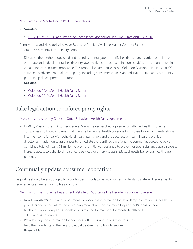- [New Hampshire Mental Health Parity Examinations](https://www.nh.gov/insurance/consumers/parity-examination-reports.htm)
	- **See also:**
		- [NHDHHS MH/SUD Parity Proposed Compliance Monitoring Plan, Final Draft: April 23, 2020](https://www.dhhs.nh.gov/ombp/medicaid/documents/paritymonitoring042320.pdf).
- [Pennsylvania](https://www.insurance.pa.gov/Regulations/Regulatory%20Actions/Pages/CurrentMarketConduct.aspx) and [New York](https://www.dfs.ny.gov/reports_and_publications/exam_reports/health_insurance) Also Have Extensive, Publicly Available Market Conduct Exams
- [Colorado 2020 Mental Health Parity Report](https://drive.google.com/drive/folders/1CgbzthI4iiqdnBsJDpmKcobLoWiZTrJu)
	- Discusses the methodology used and the rules promulgated to verify health insurance carrier compliance with state and federal mental health parity laws, market conduct examination activities, and actions taken in 2020 to increase insurer compliance. This report also summarizes other Colorado Division of Insurance (DOI) activities to advance mental health parity, including consumer services and education, state and community partnership development, and more.
	- **See also:**
		- [Colorado 2021 Mental Health Parity Report](https://drive.google.com/drive/folders/1CgbzthI4iiqdnBsJDpmKcobLoWiZTrJu)
		- [Colorado 2019 Mental Health Parity Report](https://drive.google.com/drive/folders/1CgbzthI4iiqdnBsJDpmKcobLoWiZTrJu)

## Take legal action to enforce parity rights

- [Massachusetts Attorney General's Office Behavioral Health Parity Agreements](https://www.mass.gov/lists/attorney-generals-office-behavioral-health-parity-agreements)
	- In 2020, Massachusetts Attorney General Maura Healey reached agreements with five health insurance companies and two companies that manage behavioral health coverage for insurers following investigations into their compliance with behavioral health parity laws and the accuracy of health insurers' provider directories. In addition to assurances to remediate the identified violations, the companies agreed to pay a combined total of nearly \$1 million to promote initiatives designed to prevent or treat substance use disorders, increase access to behavioral health care services, or otherwise assist Massachusetts behavioral health care patients.

## Continually update consumer education

Regulators should be encouraged to provide specific tools to help consumers understand state and federal parity requirements as well as how to file a complaint.

- [New Hampshire Insurance Department Website on Substance Use Disorder Insurance Coverage](https://www.nh.gov/insurance/consumers/substance-use-disorder-coverage.htm)
	- New Hampshire's Insurance Department webpage has information for New Hampshire residents, health care providers and others interested in learning more about the Insurance Department's focus on how health insurance companies handle claims relating to treatment for mental health and substance use disorders.
	- Provides targeted information for enrollees with SUDs, and shares resources that help them understand their right to equal treatment and how to secure those rights.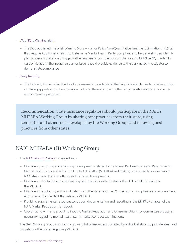#### **[DOL NQTL Warning Signs](https://www.dol.gov/sites/dolgov/files/EBSA/laws-and-regulations/laws/mental-health-parity/warning-signs-plan-or-policy-nqtls-that-require-additional-analysis-to-determine-mhpaea-compliance.pdf)**

- The DOL published the brief "Warning Signs Plan or Policy Non-Quantitative Treatment Limitations (NQTLs) that Require Additional Analysis to Determine Mental Health Parity Compliance" to help stakeholders identify plan provisions that should trigger further analysis of possible noncompliance with MHPAEA NQTL rules. In case of violations, the insurance plan or issuer should provide evidence to the designated investigator to demonstrate compliance.
- **[Parity Registry](https://www.parityregistry.org/)** 
	- The Kennedy Forum offers this tool for consumers to understand their rights related to parity, receive support in making appeals and submit complaints. Using these complaints, the Parity Registry advocates for better enforcement of parity law.

Recommendation: State insurance regulators should participate in the NAIC's MHPAEA Working Group by sharing best practices from their state, using templates and other tools developed by the Working Group, and following best practices from other states.

# NAIC MHPAEA (B) Working Group

- This [NAIC Working Group](https://content.naic.org/cmte_b_mhpaea_wg.htm) is charged with:
	- Monitoring, reporting and analyzing developments related to the federal Paul Wellstone and Pete Domenici Mental Health Parity and Addiction Equity Act of 2008 (MHPAEA) and making recommendations regarding NAIC strategy and policy with respect to those developments.
	- Monitoring, facilitating and coordinating best practices with the states, the DOL, and HHS related to the MHPAEA.
	- Monitoring, facilitating, and coordinating with the states and the DOL regarding compliance and enforcement efforts regarding the ACA that relate to MHPAEA.
	- Providing supplemental resources to support documentation and reporting in the MHPAEA chapter of the NAIC Market Regulation Handbook.
	- Coordinating with and providing input to Market Regulation and Consumer Affairs (D) Committee groups, as necessary, regarding mental health parity market conduct examinations.

The NAIC Working Group maintains a growing list of resources submitted by individual states to provide ideas and models for other states regarding MHPAEA.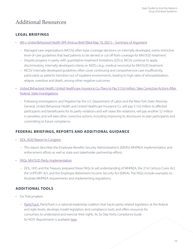## Additional Resources

## **LEGAL BRIEFINGS**

- Wit v. United Behavioral Health [APA Amicus Brief \(filed May 19, 2021\) Summary of Argument](https://www.psychiatry.org/newsroom/news-releases/american-psychiatric-association-files-amicus-brief-in-wit-v-united-behavioral-health-calls-for-putting-patient-care-before-insurance-company-profit)
	- Managed care organizations (MCOs) often base coverage decisions on internally developed, overly restrictive level-of-care guidelines that lead patients to be denied or cut off from coverage for MH/SUD treatment.
	- Despite progress in parity with quantitative treatment limitations (QTLs), MCOs continue to apply discriminatory, internally developed criteria on NQTLs (e.g., medical necessity) for MH/SUD treatment.
	- MCOs' internally developed guidelines often cover continuing and comprehensive care insufficiently, particularly as patients transition out of inpatient environments, leading to high rates of rehospitalization, relapse, overdose and death, among other negative outcomes.
- [United Behavioral Health, United Healthcare Insurance Co. Plans to Pay \\$15.6 million, Take Corrective Actions After](https://www.dol.gov/newsroom/releases/ebsa/ebsa20210812)  [Federal, State Investigations](https://www.dol.gov/newsroom/releases/ebsa/ebsa20210812)
	- Following investigations and litigation by the U.S. Department of Labor and the New York State Attorney General, United Behavioral Health and United Healthcare Insurance Co. will pay \$13.6 million to affected participants and beneficiaries for its parity violations and will cease the violations; will pay another \$2 million in penalties; and will take other corrective actions, including improving its disclosures to plan participants and committing to future compliance.

## **FEDERAL BRIEFINGS, REPORTS AND ADDITIONAL GUIDANCE**

- [DOL 2020 Report to Congress](https://www.dol.gov/sites/dolgov/files/EBSA/laws-and-regulations/laws/mental-health-parity/dol-report-to-congress-parity-partnerships-working-together.pdf)
	- This report describes the Employee Benefits Security Administration's (EBSA's) MHPAEA implementation and enforcement efforts as well as state and stakeholder partnership efforts.
- [FAQs: MH/SUD Parity Implementation](https://www.dol.gov/sites/dolgov/files/EBSA/about-ebsa/our-activities/resource-center/faqs/aca-part-39-final.pdf)
	- DOL, HHS and the Treasury prepared these FAQs to aid understanding of MHPAEA, the 21st Century Cures Act, the SUPPORT Act, and the Employee Retirement Income Security Act (ERISA). The FAQs include examples to illustrate MHPAEA requirements and implementing regulations.

## **ADDITIONAL TOOLS**

- For Policymakers
	- [ParityTrack](https://www.paritytrack.org/). ParityTrack is a national leadership coalition that tracks parity-related legislation at the federal and state levels, develops model legislation and compliance tools, and offers resources for consumers to understand and exercise their rights. Its Six Step Parity Compliance Guide for NQTL Requirements is available [here.](https://www.paritytrack.org/six-step-parity-compliance-guide/)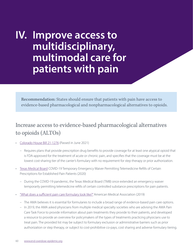# **IV. Improve access to multidisciplinary, multimodal care for patients with pain**

Recommendation: States should ensure that patients with pain have access to evidence-based pharmacological and nonpharmacological alternatives to opioids.

# Increase access to evidence-based pharmacological alternatives to opioids (ALTOs)

- [Colorado House Bill 21-1276](https://leg.colorado.gov/sites/default/files/2021a_1276_signed.pdf) (Passed in June 2021)
	- Requires plans that provide prescription drug benefits to provide coverage for at least one atypical opioid that is FDA-approved for the treatment of acute or chronic pain, and specifies that the coverage must be at the lowest cost-sharing tier of the carrier's formulary with no requirement for step therapy or prior authorization.
- [Texas Medical Board](https://myemail.constantcontact.com/Emergency-Rule-Related-to-Issuance-of-Prescriptions-Renewed-for-75-Days.html?soid=1103464106918&aid=V8z7KQEd-6Q) COVID-19 Temporary Emergency Waiver Permitting Telemedicine Refills of Certain Prescriptions for Established Pain Patients (2020)
	- During the COVID-19 pandemic, the Texas Medical Board (TMB) once extended an emergency waiver temporarily permitting telemedicine refills of certain controlled substance prescriptions for pain patients.
- ["What does a sufficient pain care formulary look like?"](https://end-overdose-epidemic.org/wp-content/uploads/2020/05/What-does-an-adequate-pain-care-formulary-look-like-Dec-2019-FINAL.pdf) American Medical Association (2019)
	- The AMA believes it is essential for formularies to include a broad range of evidence-based pain care options.
	- In 2019, the AMA asked physicians from multiple medical specialty societies who are advising the AMA Pain Care Task Force to provide information about pain treatments they provide to their patients, and developed a resource to provide an overview for policymakers of the types of treatments practicing physicians use to treat pain. The provided list may be subject to formulary exclusion or administrative barriers such as prior authorization or step therapy, or subject to cost-prohibitive co-pays, cost sharing and adverse formulary tiering.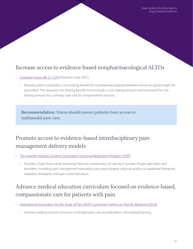## Increase access to evidence-based nonpharmacological ALTOs

- [Colorado House Bill 21-1276](https://leg.colorado.gov/sites/default/files/2021a_1276_signed.pdf) (Passed in June 2021)
	- Requires plans to provide a cost-sharing benefit for nonpharmacological treatment where an opioid might be prescribed. The required cost-sharing benefit must include a cost-sharing amount not to exceed the costsharing amount for a primary care visit for nonpreventive services.

Recommendation: States should ensure patients have access to multimodal pain care.

# Promote access to evidence-based interdisciplinary pain management delivery models

- [The Swedish Hospital System's Structured Functional Restoration Program \(SFRP\)](https://www.swedish.org/services/pain-services/our-services/structured-functional-restoration-program)
	- Provides a "pain boot camp" involving intensive coordination of care by a number of pain specialists and providers, including pain management specialists, pain psychologists, physical and/or occupational therapists, relaxation therapists, and pain nurse educators.

# Advance medical education curriculum focused on evidence-based, compassionate care for patients with pain

- [International Association for the Study of Pain \(IASP\) Curriculum Outline on Pain for Medicine \(2018\)](https://www.iasp-pain.org/education/curricula/iasp-curriculum-outline-on-pain-for-medicine/)
	- Outlines medical school curriculum to embed pain care and education into medical training.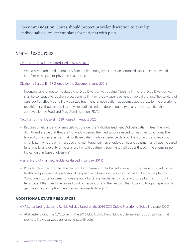Recommendation: States should protect provider discretion to develop individualized treatment plans for patients with pain.

## State Resources

- [Georgia House Bill 952 \(Introduced in March 2020\)](https://legiscan.com/GA/text/HB952/2019)
	- Would have prohibited pharmacies from implementing restrictions on controlled substances that would interfere in the patient-physician relationship.
- [Oklahoma Senate Bill 57 \(Signed by the Governor in June 2021\)](https://legiscan.com/OK/text/SB57/id/2385023)
	- Incorporates changes to the state's Anti-Drug Diversion Act, adding, "Nothing in the Anti-Drug Diversion Act shall be construed to require a practitioner to limit or forcibly taper a patient on opioid therapy. The standard of care requires effective and individualized treatment for each patient as deemed appropriate by the prescribing practitioner without an administrative or codified limit on dose or quantity that is more restrictive than approved by the Food and Drug Administration (FDA)."
- [New Hampshire House Bill 1639 \(Passed in August 2020\)](https://static1.squarespace.com/static/54d50ceee4b05797b34869cf/t/5f3ed8b1898b392f4bc2ba60/1597954225560/New+Hampshire+bill+approved+and+signed+I+recd+8-17-20+HB1639-1.pdf)
	- Requires physicians and pharmacists to consider the "individualized needs" of pain patients, treat them with dignity and ensure that they are "not unduly denied the medications needed to treat their conditions." The law additionally emphasizes that "for those patients who experience chronic illness or injury and resulting chronic pain who are on a managed and monitored regimen of opioid analgesic treatment and have increased functionality and quality of life as a result of said treatment, treatment shall be continued if there remains no indication of misuse or diversion."
- [Alaska Board of Pharmacy Guidance \(Issued in January 2019\)](https://www.commerce.alaska.gov/web/portals/5/pub/pha_ControlledSubstanceDispensing_2019.01.pdf)
	- Provides clear direction that the decision to dispense a controlled substance must be made pursuant to the health care professional's professional judgment and based on the individual patient before the pharmacist. "Controlled substance prescriptions are not a 'bartering' mechanism. In other words, a pharmacist should not tell a patient that they have refused to fill a prescription and then explain that if they go to a pain specialist to get the same prescription then they will reconsider filling it."

#### **ADDITIONAL STATE RESOURCES**

- [AMA Letter Urging States to Revisit Policies Based on the 2016 CDC Opioid Prescribing Guideline](https://searchlf.ama-assn.org/undefined/documentDownload?uri=%2Funstructured%2Fbinary%2Fletter%2FLETTERS%2F2020-6-16-Letter-to-Dowell-re-Opioid-Rx-Guideline.pdf) (June 2020)
	- AMA letter urging the CDC to revisit the 2016 CDC Opioid Prescribing Guideline and support policies that promote individualized care for patients with pain.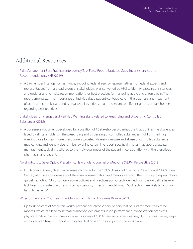# Additional Resources

- [Pain Management Best Practices Interagency Task Force Report: Updates, Gaps, Inconsistencies and](https://www.hhs.gov/sites/default/files/pmtf-final-report-2019-05-23.pdf)  [Recommendations, HHS \(2019\)](https://www.hhs.gov/sites/default/files/pmtf-final-report-2019-05-23.pdf)
	- A 29-member Interagency Task Force, including federal agency representatives, nonfederal experts and representatives from a broad group of stakeholders, was convened by HHS to identify gaps, inconsistencies, and updates and to make recommendations for best practices for managing acute and chronic pain. The report emphasizes the importance of individualized patient-centered care in the diagnosis and treatment of acute and chronic pain, and is organized in sections that are relevant to different groups of stakeholders regarding best practices.
- [Stakeholders' Challenges and Red Flag Warning Signs Related to Prescribing and Dispensing Controlled](https://www.nacds.org/ceo/2015/0312/stakeholders.pdf)  [Substances \(2015\)](https://www.nacds.org/ceo/2015/0312/stakeholders.pdf)
	- A consensus document developed by a coalition of 16 stakeholder organizations that outlines the challenges faced by all stakeholders in the prescribing and dispensing of controlled substances; highlights red flag warning signs for health care practitioners to detect diversion, misuse and abuse of controlled substance medications; and identify aberrant behavior indicators. The report specifically notes that "appropriate pain management typically is tailored to the individual needs of the patient in collaboration with the prescriber, pharmacist and patient."

#### • [No Shortcuts to Safer Opioid Prescribing, New England Journal of Medicine \(NEJM\) Perspective \(2019\)](https://www.nejm.org/doi/full/10.1056/NEJMp1904190)

- Dr. Deborah Dowell, chief clinical research officer for the CDC's Division of Overdose Prevention at CDC's Injury Center, articulates concerns about the mis-implementation and misapplication of the CDC's opioid-prescribing guideline, noting, "Unfortunately, some policies and practices purportedly derived from the guideline have in fact been inconsistent with, and often go beyond, its recommendations… Such actions are likely to result in harm to patients."
- [When Someone on Your Team Has Chronic Pain, Harvard Business Review \(2021\)](https://hbr.org/2021/07/when-someone-on-your-team-has-chronic-pain)
	- Up to 40 percent of American workers experience chronic pain, or pain that persists for more than three months, which can lead to increased absence, decrements in job performance, concentration problems, physical limits and more. Drawing from its survey of 500 American business leaders, HBR outlines five key steps employers can take to support employees dealing with chronic pain in the workplace.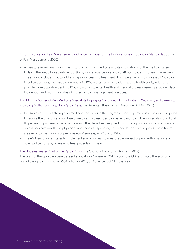- [Chronic Noncancer Pain Management and Systemic Racism: Time to Move Toward Equal Care Standards](https://www.ncbi.nlm.nih.gov/pmc/articles/PMC7654542/), Journal of Pain Management (2020)
	- A literature review examining the history of racism in medicine and its implications for the medical system today in the inequitable treatment of Black, Indigenous, people of color (BIPOC) patients suffering from pain. The study concludes that to address gaps in access and treatment, it is imperative to incorporate BIPOC voices in policy decisions, increase the number of BIPOC professionals in leadership and health equity roles, and provide more opportunities for BIPOC individuals to enter health and medical professions—in particular, Black, Indigenous and Latinx individuals focused on pain management practices.
- [Third Annual Survey of Pain Medicine Specialists Highlights Continued Plight of Patients With Pain, and Barriers to](http://abpm.org/uploads/files/abpmsurvey2021.pdf)  [Providing Multidisciplinary, Non-Opioid Care,](http://abpm.org/uploads/files/abpmsurvey2021.pdf) The American Board of Pain Medicine (ABPM) (2021)
	- In a survey of 100 practicing pain medicine specialists in the U.S., more than 80 percent said they were required to reduce the quantity and/or dose of medication prescribed to a patient with pain. The survey also found that 88 percent of pain medicine physicians said they have been required to submit a prior authorization for nonopioid pain care—with the physicians and their staff spending hours per day on such requests. These figures are similar to the findings of previous ABPM surveys, in 2018 and 2019.
	- The AMA encourages states to implement similar surveys to measure the impact of prior authorization and other policies on physicians who treat patients with pain.
- [The Underestimated Cost of the Opioid Crisis,](https://static.politico.com/1d/33/4822776641cfbac67f9bc7dbd9c8/the-underestimated-cost-of-the-opioid-crisis-embargoed.pdf) The Council of Economic Advisers (2017)
- The costs of the opioid epidemic are substantial; in a November 2017 report, the CEA estimated the economic cost of the opioid crisis to be \$504 billion in 2015, or 2.8 percent of GDP that year.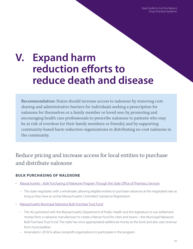State Toolkit to End the Nation's Drug Overdose Epidemic

# **V. Expand harm reduction efforts to reduce death and disease**

Recommendation: States should increase access to naloxone by removing costsharing and administrative barriers for individuals seeking a prescription for naloxone for themselves or a family member or loved one; by promoting and encouraging health care professionals to prescribe naloxone to patients who may be at risk of overdose (or their family members or friends); and by supporting community-based harm reduction organizations in distributing no-cost naloxone in the community.

Reduce pricing and increase access for local entities to purchase and distribute naloxone

#### **BULK PURCHASING OF NALOXONE**

- [Massachusetts Bulk Purchasing of Naloxone Program Through the State Office of Pharmacy Services](https://www.mass.gov/service-details/bulk-purchasing-of-naloxone)
	- The state negotiates with a wholesaler, allowing eligible entities to purchase naloxone at the negotiated rate as long as they have an active Massachusetts Controlled Substance Registration.
- [Massachusetts Municipal Naloxone Bulk Purchase Trust Fund](https://www.mass.gov/service-details/narcan-fund)
	- The AG partnered with the Massachusetts Department of Public Health and the legislature to use settlement money from a naloxone manufacturer to create a Narcan fund for cities and towns—the Municipal Naloxone Bulk Purchase Trust Fund. The state has since appropriated additional money to the fund and also uses revenue from municipalities.
	- Amended in 2018 to allow nonprofit organizations to participate in the program.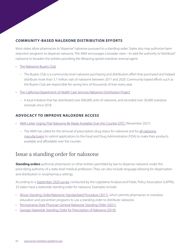### **COMMUNITY-BASED NALOXONE DISTRIBUTION EFFORTS**

Most states allow pharmacies to "dispense" naloxone pursuant to a standing order. States also may authorize harm reduction programs to dispense naloxone. The AMA encourages a broader view—to add the authority to "distribute" naloxone to broaden the entities providing the lifesaving opioid-overdose reversal agent.

- [The Naloxone Buyers Club](https://www.medrxiv.org/content/10.1101/2021.11.14.21266221v2)
	- The Buyers Club is a community-level naloxone purchasing and distribution effort that purchased and helped distribute more than 3.7 million vials of naloxone between 2017 and 2020. Community-based efforts such as the Buyers Club are responsible for saving tens of thousands of lives every year.
- [The California Department of Health Care Services Naloxone Distribution Project](https://www.dhcs.ca.gov/individuals/Pages/Naloxone_Distribution_Project.aspx)
	- A local initiative that has distributed over 600,000 units of naloxone, and recorded over 30,000 overdose reversals since 2018.

#### **ADVOCACY TO IMPROVE NALOXONE ACCESS**

- [AMA Letter Urging That Naloxone Be Made Available Over the Counter \(OTC\)](https://searchlf.ama-assn.org/letter/documentDownload?uri=%2Funstructured%2Fbinary%2Fletter%2FLETTERS%2F2021-11-4-NGA-Letter-FINAL.pdf) (November 2021)
	- The AMA has called for the removal of prescription drug status for naloxone and for [all naloxone](https://searchlf.ama-assn.org/letter/documentDownload?uri=%2Funstructured%2Fbinary%2Fletter%2FLETTERS%2F2021-11-4-Emergent-BioSolutions-FINAL.pdf)  [manufacturers](https://searchlf.ama-assn.org/letter/documentDownload?uri=%2Funstructured%2Fbinary%2Fletter%2FLETTERS%2F2021-11-4-Emergent-BioSolutions-FINAL.pdf) to submit applications to the Food and Drug Administration (FDA) to make their products available and affordable over the counter.

## Issue a standing order for naloxone

**Standing orders** authorize pharmacies or other entities permitted by law to dispense naloxone under the prescribing authority of a state-level medical profession. They can also include language allowing for dispensation and distribution in nonpharmacy settings.

According to a [September 2020 survey](https://legislativeanalysis.org/wp-content/uploads/2020/10/Naloxone-summary-of-state-laws-FINAL-9.25.2020.pdf) conducted by the Legislative Analysis and Public Policy Association (LAPPA), 33 states have a statewide standing order for naloxone. Examples include:

- [Illinois Standing Order/Naloxone Standardized Procedure \(2017\)](https://dph.illinois.gov/content/dam/soi/en/web/idph/files/naloxone-so-procedures.pdf), which permits pharmacies or overdose education and prevention programs to use a standing order to distribute naloxone.
- [Pennsylvania State Physician General Naloxone Standing Order \(2021\).](https://www.health.pa.gov/topics/Documents/Opioids/General%20Public%20Standing%20Order.pdf)
- [Georgia Statewide Standing Order for Prescription of Naloxone \(2019\).](https://dph.georgia.gov/sites/dph.georgia.gov/files/ChronicDisease/Standing%20Order%20Naloxone%5B2%5D.pdf)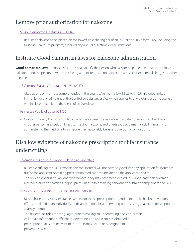## Remove prior authorization for naloxone

#### • [Missouri Annotated Statutes § 191.1165](https://revisor.mo.gov/main/OneSection.aspx?section=191.1165)

 – Requires naloxone to be placed on the lowest cost-sharing tier of an insurer's or PBM's formulary, including the Missouri HealthNet program; prohibits any annual or lifetime dollar limitations.

## Institute Good Samaritan laws for naloxone administration

**Good Samaritan laws** are policies/statutes that specify the person who calls for help, the person who administers naloxone, and the person to whom it is being administered are not subject to arrest, civil or criminal charges, or other penalties.

#### • [18 Vermont Statutes Annotated § 4254 \(2017\)](https://legislature.vermont.gov/statutes/section/18/084/04254)

- Cited as one of the most comprehensive in the country, Vermont's law 18 V.S.A. § 4254 includes limited immunity for any crime under the Controlled Substances Act, which applies to any bystander at the scene or within close proximity to the scene of an overdose.
- [Tennessee Public Chapter 623 \(2014\)](https://www.tn.gov/behavioral-health/substance-abuse-services/prevention/naloxone-training-information.html)
	- Grants immunity from civil suit to providers who prescribe naloxone to a patient, family member, friend or other person in a position to assist in giving naloxone, and grants a Good Samaritan civil immunity for administering the medicine to someone they reasonably believe is overdosing on an opioid.

# Disallow evidence of naloxone prescription for life insurance underwriting

- [Colorado Division of Insurance Bulletin \(January 2020\)](https://drive.google.com/file/d/1S8KHDAMr3qog2b91zwNPbQwFHS4gOp0A/view)
	- Bulletin clarifying the DOI's expectation that insurers will not adversely evaluate any application for insurance due to the applicant obtaining prescription medications unrelated to the applicant's health.
	- The bulletin encourages anyone who believes they may have been denied insurance, had their coverage rescinded or been charged a higher premium due to obtaining naloxone to submit a complaint to the DOI.
- [Massachusetts Division of Insurance Bulletin 2019-01](https://www.mass.gov/doc/bulletin-2019-01-information-about-certain-prescriptions-used-in-underwriting-analyses-issued/download)
	- Massachusetts instructs insurance carriers not to use prescriptions intended for public health prevention efforts unrelated to an individual's medical condition for underwriting purposes (e.g., naloxone prescription to a family member).
	- The bulletin includes this language: "prior to making an underwriting decision, carriers will obtain information sufficient to determine if an applicant has obtained a prescription that is not relevant to the applicant's health or is designed to prevent disease."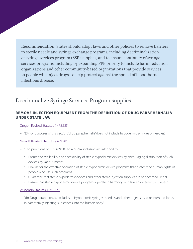Recommendation: States should adopt laws and other policies to remove barriers to sterile needle and syringe exchange programs, including decriminalization of syringe services program (SSP) supplies, and to ensure continuity of syringe services programs, including by expanding PPE priority to include harm reduction organizations and other community-based organizations that provide services to people who inject drugs, to help protect against the spread of blood-borne infectious disease.

## Decriminalize Syringe Services Program supplies

### **REMOVE INJECTION EQUIPMENT FROM THE DEFINITION OF DRUG PARAPHERNALIA UNDER STATE LAW**

- [Oregon Revised Statutes § 475.525](https://oregon.public.law/statutes/ors_475.525)
	- "(3) For purposes of this section, 'drug paraphernalia' does not include hypodermic syringes or needles."
- [Nevada Revised Statutes § 439.985](https://www.leg.state.nv.us/nrs/nrs-439.html)
	- "The provisions of NRS 439.985 to 439.994, inclusive, are intended to:
		- Ensure the availability and accessibility of sterile hypodermic devices by encouraging distribution of such devices by various means.
		- Provide for the effective operation of sterile hypodermic device programs that protect the human rights of people who use such programs.
		- Guarantee that sterile hypodermic devices and other sterile injection supplies are not deemed illegal.
		- Ensure that sterile hypodermic device programs operate in harmony with law enforcement activities."
- [Wisconsin Statutes § 961.571](https://docs.legis.wisconsin.gov/statutes/statutes/961/vi/571)
	- "(b) 'Drug paraphernalia' excludes: 1. Hypodermic syringes, needles and other objects used or intended for use in parenterally injecting substances into the human body."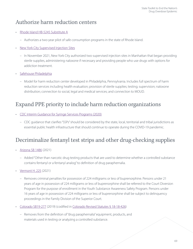## Authorize harm reduction centers

- [Rhode Island HB-5245 Substitute A](http://webserver.rilin.state.ri.us/BillText/BillText21/Proposed21/H5245A.pdf)
	- Authorizes a two-year pilot of safe consumption programs in the state of Rhode Island.
- [New York City Supervised Injection Sites](https://www.nytimes.com/2021/11/30/nyregion/supervised-injection-sites-nyc.html)
	- In November 2021, New York City authorized two supervised injection sites in Manhattan that began providing sterile supplies, administering naloxone if necessary and providing people who use drugs with options for addiction treatment.
- [Safehouse Philadelphia](https://www.safehousephilly.org/about/the-safehouse-model)
	- Model for harm reduction center developed in Philadelphia, Pennsylvania. Includes full spectrum of harm reduction services including health evaluation; provision of sterile supplies; testing; supervision; naloxone distribution; connection to social, legal and medical services; and connection to MOUD.

## Expand PPE priority to include harm reduction organizations

- [CDC Interim Guidance for Syringe Services Programs \(2020\)](https://www.cdc.gov/coronavirus/2019-ncov/php/syringe-service-programs.html)
	- CDC guidance that clarifies "SSPs" should be considered by the state, local, territorial and tribal jurisdictions as essential public health infrastructure that should continue to operate during the COVID-19 pandemic.

# Decriminalize fentanyl test strips and other drug-checking supplies

- [Arizona SB 1486](https://legiscan.com/AZ/text/SB1486/id/2402079/Arizona-2021-SB1486-Chaptered.html) (2021)
	- Added "Other than narcotic drug testing products that are used to determine whether a controlled substance contains fentanyl or a fentanyl analog" to definition of drug paraphernalia.
- [Vermont H. 225](https://legislature.vermont.gov/Documents/2022/Docs/BILLS/H-0225/H-0225%20As%20Passed%20by%20Both%20House%20and%20Senate%20Official.pdf) (2021)
	- Removes criminal penalties for possession of 224 milligrams or less of buprenorphine. Persons under 21 years of age in possession of 224 milligrams or less of buprenorphine shall be referred to the Court Diversion Program for the purpose of enrollment in the Youth Substance Awareness Safety Program. Persons under 16 years of age in possession of 224 milligrams or less of buprenorphine shall be subject to delinquency proceedings in the Family Division of the Superior Court.
- [Colorado SB19-277](https://leg.colorado.gov/bills/sb19-227) (2019) (codified in [Colorado Revised Statutes § 18-18-426\)](https://codes.findlaw.com/co/title-18-criminal-code/co-rev-st-sect-18-18-426.html)
	- Removes from the definition of "drug paraphernalia" equipment, products, and materials used in testing or analyzing a controlled substance.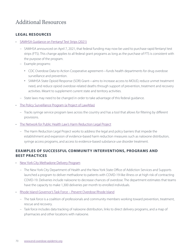## Additional Resources

#### **LEGAL RESOURCES**

- [SAMHSA Guidance on Fentanyl Test Strips](https://www.samhsa.gov/newsroom/press-announcements/202104070200) (2021)
	- SAMHSA announced on April 7, 2021, that federal funding may now be used to purchase rapid fentanyl test strips (FTS). This change applies to all federal grant programs as long as the purchase of FTS is consistent with the purpose of the program.
	- Example programs:
		- CDC Overdose Data to Action Cooperative agreement—funds health departments for drug overdose surveillance and prevention.
		- SAMHSA State Opioid Response (SOR) Grant—aims to increase access to MOUD, reduce unmet treatment need, and reduce opioid overdose-related deaths through support of prevention, treatment and recovery activities. Meant to supplement current state and territory activities.
	- State laws may need to be changed in order to take advantage of this federal guidance.
- [The Policy Surveillance Program \(a Project of LawAtlas\)](https://lawatlas.org/datasets/syringe-services-programs-laws)
	- Tracks syringe service program laws across the country and has a tool that allows for filtering by different provisions.
- [The Network for Public Health Law's Harm Reduction Legal Project](https://www.networkforphl.org/resources/topics/projects/harm-reduction-legal-project/)
	- The Harm Reduction Legal Project works to address the legal and policy barriers that impede the establishment and expansion of evidence-based harm reduction measures such as naloxone distribution, syringe access programs, and access to evidence-based substance use disorder treatment.

### **EXAMPLES OF SUCCESSFUL COMMUNITY INTERVENTIONS, PROGRAMS AND BEST PRACTICES**

- [New York City Methadone Delivery Program](https://www1.nyc.gov/site/doh/about/press/pr2020/methadone-delivery-program.page)
	- The New York City Department of Health and the New York State Office of Addiction Services and Supports launched a program to deliver methadone to patients with COVID-19-like illness or at high risk of contracting COVID-19. Deliveries include naloxone to decrease chances of overdose. The department estimates that teams have the capacity to make 1,300 deliveries per month to enrolled individuals.
- [Rhode Island Governor's Task Force Prevent Overdose Rhode Island](https://preventoverdoseri.org/get-naloxone/?src=mnu)
	- The task force is a coalition of professionals and community members working toward prevention, treatment, rescue and recovery.
	- Task force includes data tracking of naloxone distribution, links to direct delivery programs, and a map of pharmacies and other locations with naloxone.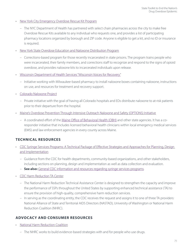- [New York City Emergency Overdose Rescue Kit Program](https://www1.nyc.gov/assets/doh/downloads/pdf/basas/naloxone-list-of-pharmacy.pdf)
	- The NYC Department of Health has partnered with select chain pharmacies across the city to make free Overdose Rescue Kits available to any individual who requests one, and provides a list of participating pharmacy locations organized by borough and ZIP code. Anyone is eligible to get a kit, and no ID or insurance is required.
- [New York State Overdose Education and Naloxone Distribution Program](https://pttcnetwork.org/sites/default/files/2019-08/naloxone-access-laws-tool.pdf)
	- Corrections-based program for those recently incarcerated in state prisons. The program trains people who were incarcerated, their family members, and corrections staff to recognize and respond to the signs of opioid overdose, and provides naloxone kits to incarcerated individuals upon release.
- [Wisconsin Department of Health Services "Wisconsin Voices for Recovery"](https://wisconsinvoicesforrecovery.org/about-us/)
	- Initiative working with Milwaukee-based pharmacy to install naloxone boxes containing naloxone, instructions on use, and resources for treatment and recovery support.
- [Colorado Naloxone Project](http://naloxoneproject.com/about/)
	- Private initiative with the goal of having all Colorado hospitals and EDs distribute naloxone to at-risk patients prior to their departure from the hospital.
- [Maine's Overdose Prevention Through Intensive Outreach Naloxone and Safety \(OPTIONS\) Initiative](https://knowyouroptions.me/about-options/)
	- A coordinated effort of the [Maine Office of Behavioral Health \(OBH\)](https://maine.gov/dhhs/obh) and other state agencies. It has a coresponder initiative that includes licensed behavioral health clinicians within local emergency medical services (EMS) and law enforcement agencies in every county across Maine.

#### **TECHNICAL RESOURCES**

- [CDC Syringe Services Programs: A Technical Package of Effective Strategies and Approaches for Planning, Design](https://www.cdc.gov/ssp/docs/SSP-Technical-Package.pdf)  [and Implementation](https://www.cdc.gov/ssp/docs/SSP-Technical-Package.pdf)
	- Guidance from the CDC for health departments, community-based organizations, and other stakeholders, including sections on planning, design and implementation as well as data collection and evaluation.
	- **See also:** [General CDC information and resources regarding syringe services programs.](https://www.cdc.gov/ssp/index.html)
- [CDC Harm Reduction TA Center](https://www.cdc.gov/harmreductionta/index.html)
	- The National Harm Reduction Technical Assistance Center is designed to strengthen the capacity and improve the performance of SSPs throughout the United States by supporting enhanced technical assistance (TA) to ensure the provision of high-quality, comprehensive harm reduction services.
	- In serving as the coordinating entity, the CDC receives the request and assigns it to one of three TA providers: National Alliance of State and Territorial AIDS Directors (NASTAD), University of Washington or National Harm Reduction Coalition (NHRC).

#### **ADVOCACY AND CONSUMER RESOURCES**

- [National Harm Reduction Coalition](https://harmreduction.org/)
	- The NHRC works to build evidence-based strategies with and for people who use drugs.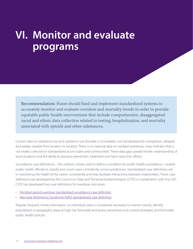# **VI. Monitor and evaluate programs**

Recommendation: States should fund and implement standardized systems to accurately monitor and evaluate overdose and mortality trends in order to provide equitable public health interventions that include comprehensive, disaggregated racial and ethnic data collection related to testing, hospitalization, and mortality associated with opioids and other substances.

Current data on substance use and substance use disorder is incomplete, not standardized for comparison, delayed, and widely variable from location to location. There is no national data on nonfatal overdoses, a key indicator that is not widely collected or standardized across states and communities. These data gaps greatly hinder understanding of local situations and the ability to advance prevention, treatment and harm reduction efforts.

Surveillance case definitions—the uniform criteria used to define a condition for public health surveillance—enable public health officials to classify and count cases consistently across jurisdictions. Standardized case definitions aid in monitoring the health of the nation consistently and help facilitate interactions between stakeholders. These case definitions are developed by the Council on State and Territorial Epidemiologists (CSTE) in coordination with the CDC. CSTE has developed two case definitions for overdose outcomes:

- [Nonfatal opioid overdose standardized surveillance case definition](https://cdn.ymaws.com/www.cste.org/resource/resmgr/2019ps/final/19-CC-01_final_7.31.19.pdf)
- [Neonatal Abstinence Syndrome \(NAS\) standardized case definition](https://cdn.ymaws.com/www.cste.org/resource/resmgr/2019ps/final/19-MCH-01_final_7.31.19.pdf)

Regular, frequent, timely information on individual cases is considered necessary to monitor trends, identify populations or geographic areas at high risk, formulate and assess prevention and control strategies, and formulate public health policies.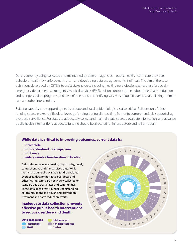Data is currently being collected and maintained by different agencies—public health, health care providers, behavioral health, law enforcement, etc.—and developing data use agreements is difficult. The aim of the case definitions developed by CSTE is to assist stakeholders, including health care professionals, hospitals (especially emergency departments), emergency medical services (EMS), poison control centers, laboratories, harm reduction and syringe services programs, and law enforcement, in identifying survivors of opioid overdose and linking them to care and other interventions.

Building capacity and supporting needs of state and local epidemiologists is also critical. Reliance on a federal funding source makes it difficult to leverage funding during allotted time frames to comprehensively support drug overdose surveillance. For states to adequately collect and maintain data sources, evaluate information, and advance public health interventions, adequate funding should be allocated for infrastructure and full-time staff.

#### **While data is critical to improving outcomes, current data is:**

- **…incomplete**
- **…not standardized for comparison**
- **…not timely**
- **…widely variable from location to location**

Difficulties remain in accessing high quality, timely, comprehensive and standardized data. While metrics are generally available for drug-related overdoses, data for non-fatal overdoses and other key indicators are not widely collected or standardized across states and communities. These data gaps greatly hinder understanding of local situations and advancing prevention, treatment and harm reduction efforts.

#### **Inadequate data collection prevents effective public health interventions to reduce overdose and death.**

**Prescriptions PDMP** Data categories

**Fatal overdoses Non-fatal overdoses No data**

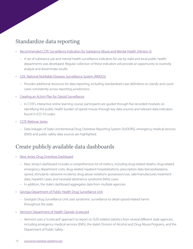## Standardize data reporting

- [Recommended CSTE Surveillance Indicators for Substance Abuse and Mental Health \(Version 3\)](https://www.cste.org/resource/resmgr/crosscuttingi/CSTE_Substance_Abuse_and_Men.pdf)
	- A set of substance use and mental health surveillance indicators for use by state and local public health departments was developed. Regular collection of these indicators will provide an opportunity to routinely analyze and disseminate results.
- [CDC National Notifiable Diseases Surveillance System \(NNDSS\)](https://www.cdc.gov/nndss/index.html)
	- Provides additional resources for data reporting, including standardized case definitions to classify and count cases consistently across reporting jurisdictions.
- [Creating an Action Plan for Opioid Surveillance](https://www.cste.org/general/custom.asp?page=overdose-course)
	- In CSTE's interactive online learning course, participants are guided through five recorded modules on identifying the public health burden of opioid misuse through key data sources and relevant data indicators found in ICD-10 codes.
- [CSTE Webinar Series](https://www.cste.org/general/custom.asp?page=overdose-course)
	- Data linkages of State Unintentional Drug Overdose Reporting System (SUDORS), emergency medical services (EMS) and public safety data sources are highlighted.

#### Create publicly available data dashboards

- [New Jersey Drug Overdose Dashboard](https://www.state.nj.us/health/populationhealth/opioid/)
	- New Jersey's dashboard includes a comprehensive list of metrics, including drug-related deaths; drug-related emergency department visits; drug-related inpatient hospitalizations; prescription data (benzodiazepine, opioid, stimulant); naloxone incidents; drug abuse violations (possession/use, sale/manufacture); treatment data; hepatitis cases; and neonatal abstinence syndrome (NAS) cases.
	- In addition, the state's dashboard aggregates data from multiple agencies.
- [Georgia Department of Public Health Drug Surveillance Unit](https://dph.georgia.gov/epidemiology/drug-surveillance-unit)
	- Georgia's Drug Surveillance Unit uses syndromic surveillance to detail opioid-related harms throughout the state.
- [Vermont Department of Health Opioids Scorecard](https://www.healthvermont.gov/scorecard-opioids)
	- Vermont uses a "scorecard" approach to report on SUD-related statistics from several different state agencies, including emergency medical services (EMS), the state's Division of Alcohol and Drug Abuse Programs, and the Department of Public Safety.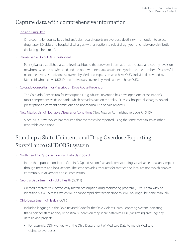## Capture data with comprehensive information

- [Indiana Drug Data](https://www.in.gov/recovery/)
	- On a county-by-county basis, Indiana's dashboard reports on overdose deaths (with an option to select drug type), ED visits and hospital discharges (with an option to select drug type), and naloxone distribution (including a heat map).
- [Pennsylvania Opioid Data Dashboard](https://data.pa.gov/stories/s/Pennsylvania-Opioids/9q45-nckt/)
	- Pennsylvania established a state-level dashboard that provides information at the state and county levels on newborns who are on Medicaid and are born with neonatal abstinence syndrome, the number of successful naloxone reversals, individuals covered by Medicaid expansion who have OUD, individuals covered by Medicaid who receive MOUD, and individuals covered by Medicaid who have OUD.
- [Colorado Consortium for Prescription Drug Abuse Prevention](https://public.tableau.com/app/profile/lina.brou/viz/RXConsortiumDashboard2020/LandingPage)
	- The Colorado Consortium for Prescription Drug Abuse Prevention has developed one of the nation's most comprehensive dashboards, which provides data on mortality, ED visits, hospital discharges, opioid prescriptions, treatment admissions and nonmedical use of pain relievers.
- [New Mexico List of Notifiable Diseases or Conditions](https://casetext.com/regulation/new-mexico-administrative-code/title-7-health/chapter-4-disease-control-epidemiology/part-3-control-of-disease-and-conditions-of-public-health-significance/section-74313-notifiable-diseases-or-conditions-in-new-mexico) (New Mexico Administrative Code 7.4.3.13)
	- Since 2003, New Mexico has required that overdoses be reported using the same mechanism as other reportable conditions.

# Stand up a State Unintentional Drug Overdose Reporting Surveillance (SUDORS) system

- [North Carolina Opioid Action Plan Data Dashboard](https://www.ncdhhs.gov/opioid-and-substance-use-action-plan-data-dashboard)
	- In the third publication, North Carolina's Opioid Action Plan and corresponding surveillance measures impact through metrics and local actions. The state provides resources for metrics and local actions, which enables community involvement and customization.
- [Georgia Department of Public Health](https://www.astho.org/ASTHOBriefs/Georgia-and-Ohio-Modernized-Opioid-Surveillance-Strategies/) (GDPH)
	- Created a system to electronically match prescription drug monitoring program (PDMP) data with deidentified SUDORS cases, which will enhance rapid abstraction since this will no longer be done manually.
- [Ohio Department of Health](https://www.astho.org/ASTHOBriefs/Georgia-and-Ohio-Modernized-Opioid-Surveillance-Strategies/) (ODH)
	- Included language in the Ohio Revised Code for the Ohio Violent Death Reporting System indicating that a partner state agency or political subdivision may share data with ODH, facilitating cross-agency data-linking projects.
		- For example, ODH worked with the Ohio Department of Medicaid Data to match Medicaid claims to overdoses.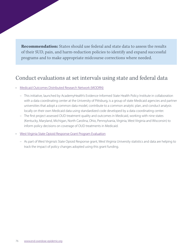**Recommendation:** States should use federal and state data to assess the results of their SUD, pain, and harm-reduction policies to identify and expand successful programs and to make appropriate midcourse corrections where needed.

## Conduct evaluations at set intervals using state and federal data

- [Medicaid Outcomes Distributed Research Network \(MODRN\)](https://academyhealth.org/publications/2020-07/overview-medicaid-outcomes-distributed-research-network)
	- This initiative, launched by AcademyHealth's Evidence-Informed State Health Policy Institute in collaboration with a data coordinating center at the University of Pittsburg, is a group of state Medicaid agencies and partner universities that adopt a common data model, contribute to a common analytic plan, and conduct analysis locally on their own Medicaid data using standardized code developed by a data coordinating center.
	- The first project assessed OUD treatment quality and outcomes in Medicaid, working with nine states (Kentucky, Maryland, Michigan, North Carolina, Ohio, Pennsylvania, Virginia, West Virginia and Wisconsin) to inform policy decisions on coverage of OUD treatments in Medicaid.

#### • [West Virginia State Opioid Response Grant Program Evaluation](http://health.wvu.edu/healthaffairs/programs/)

 – As part of West Virginia's State Opioid Response grant, West Virginia University statistics and data are helping to track the impact of policy changes adopted using this grant funding.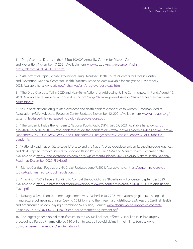1 "Drug Overdose Deaths in the US Top 100,000 Annually," Centers for Disease Control and Prevention. November 17, 2021. Available here: [www.cdc.gov/nchs/pressroom/nchs\\_](https://www.cdc.gov/nchs/pressroom/nchs_press_releases/2021/20211117.htm) [press\\_releases/2021/20211117.htm.](https://www.cdc.gov/nchs/pressroom/nchs_press_releases/2021/20211117.htm)

[2](#page-3-0) "Vital Statistics Rapid Release: Provisional Drug Overdose Death Counts," Centers for Disease Control and Prevention, National Center for Health Statistics. Based on data available for analysis on November 7, 2021. Available here: [www.cdc.gov/nchs/nvss/vsrr/drug-overdose-data.htm](https://www.cdc.gov/nchs/nvss/vsrr/drug-overdose-data.htm).

[3](#page-3-0) "The Drug Overdose Toll in 2020 and Near-Term Actions for Addressing It," The Commonwealth Fund. August 16, 2021. Available here: [www.commonwealthfund.org/blog/2021/drug-overdose-toll-2020-and-near-term-actions](https://www.commonwealthfund.org/blog/2021/drug-overdose-toll-2020-and-near-term-actions-addressing-it)[addressing-it](https://www.commonwealthfund.org/blog/2021/drug-overdose-toll-2020-and-near-term-actions-addressing-it).

[4](#page-3-0) "Issue brief: Nation's drug-related overdose and death epidemic continues to worsen," American Medical Association (AMA), Advocacy Resource Center. Updated November 12, 2021. Available here: [www.ama-assn.org/](https://www.ama-assn.org/system/files/issue-brief-increases-in-opioid-related-overdose.pdf) [system/files/issue-brief-increases-in-opioid-related-overdose.pdf.](https://www.ama-assn.org/system/files/issue-brief-increases-in-opioid-related-overdose.pdf)

[5](#page-3-0) "The Epidemic Inside the Pandemic," National Public Radio (NPR). July 27, 2021. Available here: [www.npr.](https://www.npr.org/2021/07/27/1021308612/the-epidemic-inside-the-pandemic#:~:text=The%20Epidemic%20Inside%20The%20Pandemic%20%3A%201A%20As%20the%20pandemic%20rages,other%20consequences%20of%20the%20pandemic) [org/2021/07/27/1021308612/the-epidemic-inside-the-pandemic#:~:text=The%20Epidemic%20Inside%20The%20](https://www.npr.org/2021/07/27/1021308612/the-epidemic-inside-the-pandemic#:~:text=The%20Epidemic%20Inside%20The%20Pandemic%20%3A%201A%20As%20the%20pandemic%20rages,other%20consequences%20of%20the%20pandemic) [Pandemic%20%3A%201A%20As%20the%20pandemic%20rages,other%20consequences%20of%20the%20](https://www.npr.org/2021/07/27/1021308612/the-epidemic-inside-the-pandemic#:~:text=The%20Epidemic%20Inside%20The%20Pandemic%20%3A%201A%20As%20the%20pandemic%20rages,other%20consequences%20of%20the%20pandemic) [pandemic.](https://www.npr.org/2021/07/27/1021308612/the-epidemic-inside-the-pandemic#:~:text=The%20Epidemic%20Inside%20The%20Pandemic%20%3A%201A%20As%20the%20pandemic%20rages,other%20consequences%20of%20the%20pandemic)

[6](#page-3-0) "National Roadmap on State-Level Efforts to End the Nation's Drug Overdose Epidemic, Leading-Edge Practices and Next Steps to Remove Barriers to Evidence-Based Patient Care," AMA and Manatt Health. December 2020. Available here: [https://end-overdose-epidemic.org/wp-content/uploads/2020/12/AMA-Manatt-Health-National-](https://end-overdose-epidemic.org/wp-content/uploads/2020/12/AMA-Manatt-Health-National-Roadmap-December-2020-FINAL.pdf)[Roadmap-December-2020-FINAL.pdf](https://end-overdose-epidemic.org/wp-content/uploads/2020/12/AMA-Manatt-Health-National-Roadmap-December-2020-FINAL.pdf).

[7](#page-14-0) Market Conduct Regulation, NAIC. Last Updated June 7, 2021. Available here: [https://content.naic.org/cipr\\_](https://content.naic.org/cipr_topics/topic_market_conduct_regulation.htm) [topics/topic\\_market\\_conduct\\_regulation.htm.](https://content.naic.org/cipr_topics/topic_market_conduct_regulation.htm)

[8](#page-22-0) "Tracking FY2019 Federal Funding to Combat the Opioid Crisis," Bipartisan Policy Center. September 2020. Available here: [https://bipartisanpolicy.org/download/?file=/wp-content/uploads/2020/09/BPC-Opioids-Report\\_](https://bipartisanpolicy.org/download/?file=/wp-content/uploads/2020/09/BPC-Opioids-Report_RV6-1.pdf) [RV6-1.pdf.](https://bipartisanpolicy.org/download/?file=/wp-content/uploads/2020/09/BPC-Opioids-Report_RV6-1.pdf)

[9](#page-22-0) Notably, a \$26 billion settlement agreement was reached in July 2021 with attorneys general, the opioid manufacturer Johnson & Johnson (paying \$5 billion), and the three major distributors: McKesson, Cardinal Health, and Amerisource Bergen (paying a combined \$21 billion). Source: [www.attorneygeneral.gov/wp-content/](https://www.attorneygeneral.gov/wp-content/uploads/2021/07/2021-07-21-Final-Distributor-Settlement-Agreement.pdf) [uploads/2021/07/2021-07-21-Final-Distributor-Settlement-Agreement.pdf.](https://www.attorneygeneral.gov/wp-content/uploads/2021/07/2021-07-21-Final-Distributor-Settlement-Agreement.pdf)

[10](#page-22-0) The largest generic opioid manufacturer in the US, Mallinckrodt, offered \$1.6 billion in its bankruptcy proceedings; Purdue Pharma offered \$10 billion to settle all opioid claims in their filing. Source: [www.](https://www.opioidsettlementtracker.com/faq/#whatisoplit) [opioidsettlementtracker.com/faq/#whatisoplit.](https://www.opioidsettlementtracker.com/faq/#whatisoplit)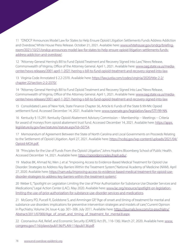[11](#page-23-0) "ONDCP Announces Model Law for States to Help Ensure Opioid Litigation Settlements Funds Address Addiction and Overdose," White House Press Release. October 21, 2021. Available here: [www.whitehouse.gov/ondcp/briefing](https://www.whitehouse.gov/ondcp/briefing-room/2021/10/21/ondcp-announces-model-law-for-states-to-help-ensure-opioid-litigation-settlements-funds-address-addiction-and-overdose/)[room/2021/10/21/ondcp-announces-model-law-for-states-to-help-ensure-opioid-litigation-settlements-funds](https://www.whitehouse.gov/ondcp/briefing-room/2021/10/21/ondcp-announces-model-law-for-states-to-help-ensure-opioid-litigation-settlements-funds-address-addiction-and-overdose/)[address-addiction-and-overdose/](https://www.whitehouse.gov/ondcp/briefing-room/2021/10/21/ondcp-announces-model-law-for-states-to-help-ensure-opioid-litigation-settlements-funds-address-addiction-and-overdose/).

[12](#page-23-0) "Attorney General Herring's Bill to Fund Opioid Treatment and Recovery Signed Into Law," News Release, Commonwealth of Virginia, Office of the Attorney General. April 1, 2021. Available here: [www.oag.state.va.us/media](https://www.oag.state.va.us/media-center/news-releases/2001-april-1-2021-herring-s-bill-to-fund-opioid-treatment-and-recovery-signed-into-law)[center/news-releases/2001-april-1-2021-herring-s-bill-to-fund-opioid-treatment-and-recovery-signed-into-law](https://www.oag.state.va.us/media-center/news-releases/2001-april-1-2021-herring-s-bill-to-fund-opioid-treatment-and-recovery-signed-into-law).

[13](#page-23-0) Virginia Code Annotated § 2.2-2370. Available here: [https://law.justia.com/codes/virginia/2020/title-2-2/](https://law.justia.com/codes/virginia/2020/title-2-2/chapter-22/section-2-2-2370/) [chapter-22/section-2-2-2370/.](https://law.justia.com/codes/virginia/2020/title-2-2/chapter-22/section-2-2-2370/)

[14](#page-23-0) "Attorney General Herring's Bill to Fund Opioid Treatment and Recovery Signed Into Law," News Release, Commonwealth of Virginia, Office of the Attorney General. April 1, 2021. Available here: [www.oag.state.va.us/media](https://www.oag.state.va.us/media-center/news-releases/2001-april-1-2021-herring-s-bill-to-fund-opioid-treatment-and-recovery-signed-into-law)[center/news-releases/2001-april-1-2021-herring-s-bill-to-fund-opioid-treatment-and-recovery-signed-into-law](https://www.oag.state.va.us/media-center/news-releases/2001-april-1-2021-herring-s-bill-to-fund-opioid-treatment-and-recovery-signed-into-law).

[15](#page-23-0) Consolidated Laws of New York, State Finance Chapter 56, Article 6: Funds of the State § 99-NN: Opioid settlement fund. Accessed December 14, 2021. Available here: [www.nysenate.gov/legislation/laws/STF/99-NN.](https://www.nysenate.gov/legislation/laws/STF/99-NN)

[16](#page-23-0) Kentucky § 15.291: Kentucky Opioid Abatement Advisory Commission -- Membership -- Meetings -- Criteria for award of moneys from opioid abatement trust fund. Accessed December 14, 2021. Available here: [https://apps.](https://apps.legislature.ky.gov/law/statutes/statute.aspx?id=50754) [legislature.ky.gov/law/statutes/statute.aspx?id=50754](https://apps.legislature.ky.gov/law/statutes/statute.aspx?id=50754).

[17](#page-23-0) Memorandum of Agreement Between the State of North Carolina and Local Governments on Proceeds Relating to the Settlement of Opioid Litigation. April 27, 2021. Available here: [https://ncdoj.gov/wp-content/uploads/2021/04/](https://ncdoj.gov/wp-content/uploads/2021/04/Opioid-MOA.pdf) [Opioid-MOA.pdf](https://ncdoj.gov/wp-content/uploads/2021/04/Opioid-MOA.pdf).

[18](#page-24-0) "Principles for the Use of Funds From the Opioid Litigation," Johns Hopkins Bloomberg School of Public Health. Accessed December 14, 2021. Available here: <https://opioidprinciples.jhsph.edu/>.

[19](#page-24-0) Madras BK, Ahmad NJ, Wen J, et al. "Improving Access to Evidence-Based Medical Treatment for Opioid Use Disorder: Strategies to Address Key Barriers Within the Treatment System," National Academy of Medicine (NAM). April 27, 2020. Available here: [https://nam.edu/improving-access-to-evidence-based-medical-treatment-for-opioid-use](https://nam.edu/improving-access-to-evidence-based-medical-treatment-for-opioid-use-disorder-strategies-to-address-key-barriers-within-the-treatment-system/)[disorder-strategies-to-address-key-barriers-within-the-treatment-system/](https://nam.edu/improving-access-to-evidence-based-medical-treatment-for-opioid-use-disorder-strategies-to-address-key-barriers-within-the-treatment-system/).

[20](#page-24-0) Weber E, "Spotlight on Legislation Limiting the Use of Prior Authorization for Substance Use Disorder Services and Medications," Legal Action Center (LAC). May 2020. Available here: [www.lac.org/resource/spotlight-on-legislation](https://www.lac.org/resource/spotlight-on-legislation-limiting-the-use-of-prior-authorization-for-substance-use-disorder-services-and-medications)[limiting-the-use-of-prior-authorization-for-substance-use-disorder-services-and-medications.](https://www.lac.org/resource/spotlight-on-legislation-limiting-the-use-of-prior-authorization-for-substance-use-disorder-services-and-medications)

[21](#page-24-0) McGorry PD, Purcell R, Goldstone S, and Amminger GP, "Age of onset and timing of treatment for mental and substance use disorders: implications for preventive intervention strategies and models of care," Current Opinion in Psychiatry, Volume 24, Issue 4, pp. 301–306. July 2011. Available here: [https://journals.lww.com/co-psychiatry/](https://journals.lww.com/co-psychiatry/Abstract/2011/07000/Age_of_onset_and_timing_of_treatment_for_mental.8.aspx) [Abstract/2011/07000/Age\\_of\\_onset\\_and\\_timing\\_of\\_treatment\\_for\\_mental.8.aspx](https://journals.lww.com/co-psychiatry/Abstract/2011/07000/Age_of_onset_and_timing_of_treatment_for_mental.8.aspx).

22 Coronavirus Aid, Relief, and Economic Security (CARES) Act (P.L. 116-136). March 27, 2020. Available here: [www.](https://www.congress.gov/116/plaws/publ136/PLAW-116publ136.pdf) [congress.gov/116/plaws/publ136/PLAW-116publ136.pdf](https://www.congress.gov/116/plaws/publ136/PLAW-116publ136.pdf).